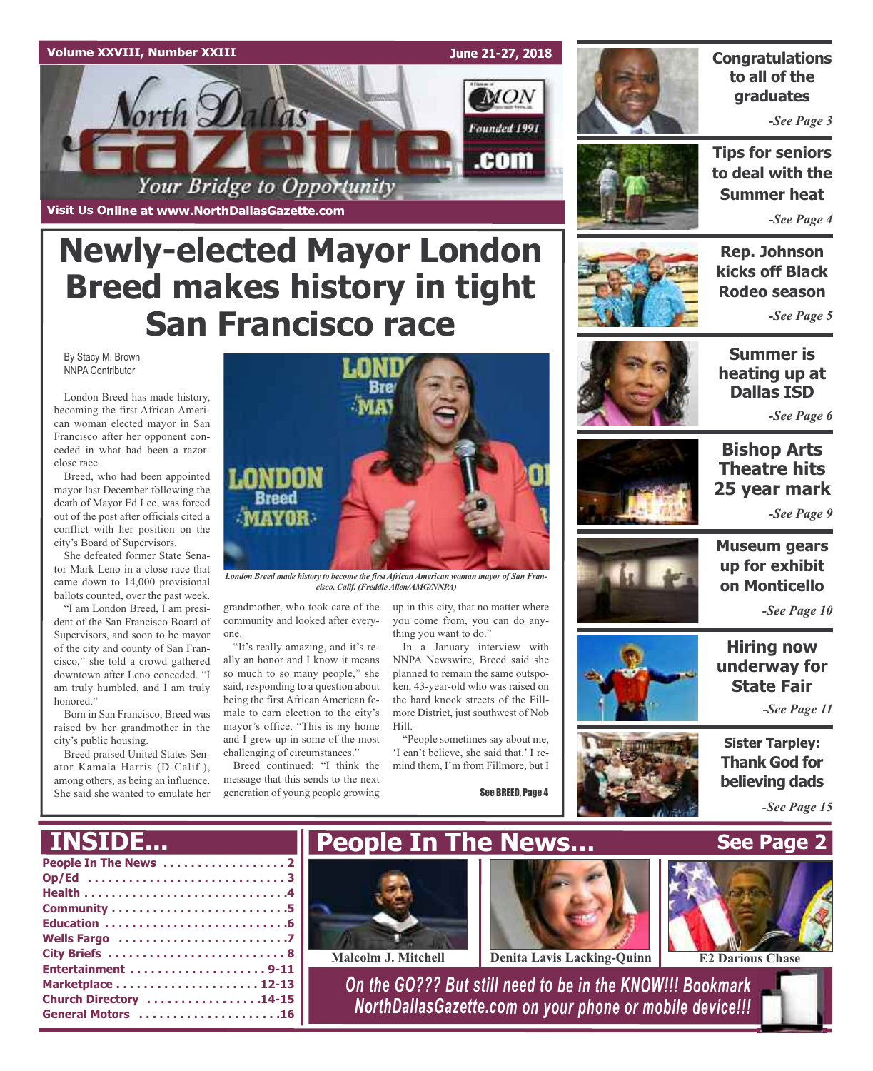

**Newly-elected Mayor London**

**Breed makes history in tight**

**San Francisco race**

## **Congratulations to all of the graduates**

*-See Page 3*

**Tips for seniors to deal with the Summer heat**

*-See Page 4*

## **Rep. Johnson kicks off Black Rodeo season**

*-See Page 5*

By Stacy M. Brown NNPA Contributor

London Breed has made history, becoming the first African American woman elected mayor in San Francisco after her opponent conceded in what had been a razorclose race.

Breed, who had been appointed mayor last December following the death of Mayor Ed Lee, was forced out of the post after officials cited a conflict with her position on the city's Board of Supervisors.

She defeated former State Senator Mark Leno in a close race that came down to 14,000 provisional ballots counted, over the past week.

"I am London Breed, I am president of the San Francisco Board of Supervisors, and soon to be mayor of the city and county of San Francisco," she told a crowd gathered downtown after Leno conceded. "I am truly humbled, and I am truly honored."

Born in San Francisco, Breed was raised by her grandmother in the city's public housing.

Breed praised United States Senator Kamala Harris (D-Calif.), among others, as being an influence. She said she wanted to emulate her



*London Breed made history to become the first African American woman mayor of San Fran* $cisco, Calif.$  *(Freddie Allen/AMG/NNPA)* 

grandmother, who took care of the community and looked after everyone.

"It's really amazing, and it's really an honor and I know it means so much to so many people," she said, responding to a question about being the first African American female to earn election to the city's mayor's office. "This is my home and I grew up in some of the most challenging of circumstances."

Breed continued: "I think the message that this sends to the next generation of young people growing

up in this city, that no matter where you come from, you can do any-

thing you want to do." In a January interview with NNPA Newswire, Breed said she planned to remain the same outspoken, 43-year-old who was raised on the hard knock streets of the Fillmore District, just southwest of Nob Hill.

"People sometimes say about me, 'I can't believe, she said that.' I remind them, I'm from Fillmore, but I

See BREED, Page 4



**Summer is heating up at Dallas ISD**

*-See Page 6*



## **Bishop Arts Theatre hits 25 year mark**

*-See Page 9*



**Museum gears up for exhibit on Monticello**

*-See Page 10*

**Hiring now underway for State Fair**

*-See Page 11*

**Sister Tarpley: Thank God for believing dads**

**See Page 2**

*-See Page 15*

## **INSIDE...**

| ______________         |
|------------------------|
|                        |
|                        |
|                        |
|                        |
|                        |
|                        |
|                        |
| Entertainment 9-11     |
|                        |
| Church Directory 14-15 |
| General Motors 16      |
|                        |





**Malcolm J. Mitchell Denita Lavis Lacking-Quinn E2 Darious Chase**

*On the GO??? But still need to be in the KNOW!!! Bookmark NorthDallasGazette.com on your phone or mobile device!!!*

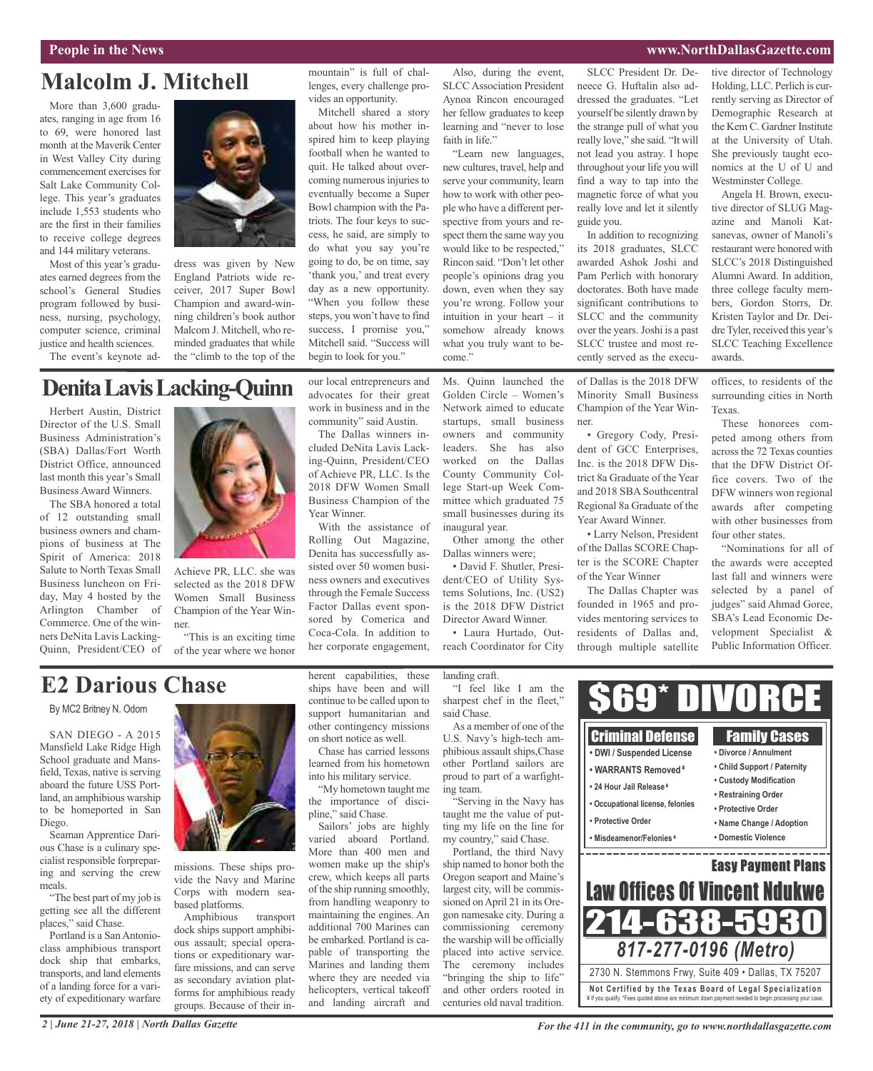#### **People in the News www.NorthDallasGazette.com**

## **Malcolm J. Mitchell**

More than 3,600 graduates, ranging in age from 16 to 69, were honored last month at the Maverik Center in West Valley City during commencement exercises for Salt Lake Community College. This year's graduates include 1,553 students who are the first in their families to receive college degrees and 144 military veterans.

Most of this year's graduates earned degrees from the school's General Studies program followed by business, nursing, psychology, computer science, criminal justice and health sciences.

The event's keynote ad-



dress was given by New England Patriots wide receiver, 2017 Super Bowl Champion and award-winning children's book author Malcom J. Mitchell, who reminded graduates that while the "climb to the top of the

#### mountain" is full of challenges, every challenge provides an opportunity.

Mitchell shared a story about how his mother inspired him to keep playing football when he wanted to quit. He talked about overcoming numerous injuries to eventually become a Super Bowl champion with the Patriots. The four keys to success, he said, are simply to do what you say you're going to do, be on time, say 'thank you,' and treat every day as a new opportunity. "When you follow these steps, you won't have to find success. I promise you," Mitchell said. "Success will begin to look for you."

our local entrepreneurs and advocates for their great work in business and in the community" said Austin. The Dallas winners included DeNita Lavis Lacking-Quinn, President/CEO of Achieve PR, LLC. Is the 2018 DFW Women Small Business Champion of the

With the assistance of Rolling Out Magazine, Denita has successfully assisted over 50 women business owners and executives through the Female Success Factor Dallas event sponsored by Comerica and Coca-Cola. In addition to her corporate engagement,

Year Winner.

Also, during the event, SLCC Association President Aynoa Rincon encouraged her fellow graduates to keep learning and "never to lose faith in life."

"Learn new languages, new cultures, travel, help and serve your community, learn how to work with other people who have a different perspective from yours and respect them the same way you would like to be respected," Rincon said. "Don't let other people's opinions drag you down, even when they say you're wrong. Follow your intuition in your heart – it somehow already knows what you truly want to become."

Ms. Quinn launched the Golden Circle – Women's Network aimed to educate startups, small business owners and community leaders. She has also worked on the Dallas County Community College Start-up Week Committee which graduated 75 small businesses during its

SLCC President Dr. Deneece G. Huftalin also addressed the graduates. "Let yourself be silently drawn by the strange pull of what you really love," she said. "It will not lead you astray. I hope throughout your life you will find a way to tap into the magnetic force of what you really love and let it silently guide you.

In addition to recognizing its 2018 graduates, SLCC awarded Ashok Joshi and Pam Perlich with honorary doctorates. Both have made significant contributions to SLCC and the community over the years.Joshi is a past SLCC trustee and most recently served as the execu-

of Dallas is the 2018 DFW Minority Small Business Champion of the Year Winner.

• Gregory Cody, President of GCC Enterprises, Inc. is the 2018 DFW District 8a Graduate of the Year and 2018 SBA Southcentral Regional 8a Graduate of the Year Award Winner.

• Larry Nelson, President of the Dallas SCORE Chapter is the SCORE Chapter of the Year Winner

The Dallas Chapter was founded in 1965 and provides mentoring services to residents of Dallas and, through multiple satellite

tive director of Technology Holding, LLC. Perlich is currently serving as Director of Demographic Research at the Kem C. Gardner Institute at the University of Utah. She previously taught economics at the U of U and Westminster College.

Angela H. Brown, executive director of SLUG Magazine and Manoli Katsanevas, owner of Manoli's restaurant were honored with SLCC's 2018 Distinguished Alumni Award. In addition, three college faculty members, Gordon Storrs, Dr. Kristen Taylor and Dr. Deidre Tyler, received this year's SLCC Teaching Excellence awards.

offices, to residents of the surrounding cities in North Texas.

These honorees competed among others from across the 72 Texas counties that the DFW District Office covers. Two of the DFW winners won regional awards after competing with other businesses from four other states.

"Nominations for all of the awards were accepted last fall and winners were selected by a panel of judges" said Ahmad Goree, SBA's Lead Economic Development Specialist & Public Information Officer.

## **DenitaLavisLacking-Quinn**

Herbert Austin, District Director of the U.S. Small Business Administration's (SBA) Dallas/Fort Worth District Office, announced last month this year's Small Business Award Winners.

The SBA honored a total of 12 outstanding small business owners and champions of business at The Spirit of America: 2018 Salute to North Texas Small Business luncheon on Friday, May 4 hosted by the Arlington Chamber of Commerce. One of the winners DeNita Lavis Lacking-Quinn, President/CEO of



Achieve PR, LLC. she was selected as the 2018 DFW Women Small Business Champion of the Year Winner.

"This is an exciting time of the year where we honor

## **E2 Darious Chase**

By MC2 Britney N. Odom

SAN DIEGO - A 2015 Mansfield Lake Ridge High School graduate and Mansfield, Texas, native is serving aboard the future USS Portland, an amphibious warship to be homeported in San Diego.

Seaman Apprentice Darious Chase is a culinary specialist responsible forpreparing and serving the crew meals.

"The best part of my job is getting see all the different places," said Chase.

Portland is a San Antonioclass amphibious transport dock ship that embarks, transports, and land elements of a landing force for a variety of expeditionary warfare



missions. These ships provide the Navy and Marine Corps with modern seabased platforms.

Amphibious transport dock ships support amphibious assault; special operations or expeditionary warfare missions, and can serve as secondary aviation platforms for amphibious ready groups. Because of their inherent capabilities, these ships have been and will continue to be called upon to support humanitarian and other contingency missions on short notice as well.

Chase has carried lessons learned from his hometown into his military service.

"My hometown taught me the importance of discipline," said Chase.

Sailors' jobs are highly varied aboard Portland. More than 400 men and women make up the ship's crew, which keeps all parts of the ship running smoothly, from handling weaponry to maintaining the engines. An additional 700 Marines can be embarked. Portland is capable of transporting the Marines and landing them where they are needed via helicopters, vertical takeoff and landing aircraft and

landing craft.

inaugural year.

Other among the other Dallas winners were;

• David F. Shutler, President/CEO of Utility Systems Solutions, Inc. (US2) is the 2018 DFW District Director Award Winner. • Laura Hurtado, Outreach Coordinator for City

"I feel like I am the sharpest chef in the fleet," said Chase. As a member of one of the

U.S. Navy's high-tech amphibious assault ships,Chase other Portland sailors are proud to part of a warfighting team.

"Serving in the Navy has taught me the value of putting my life on the line for my country," said Chase.

Portland, the third Navy ship named to honor both the Oregon seaport and Maine's largest city, will be commissioned onApril 21 in its Oregon namesake city. During a commissioning ceremony the warship will be officially placed into active service. The ceremony includes "bringing the ship to life" and other orders rooted in centuries old naval tradition.



*2 | June 21-27, 2018 | North Dallas Gazette*

¥ If you qualify. \*Fees quoted above are minimum down payment needed to begin processing your case.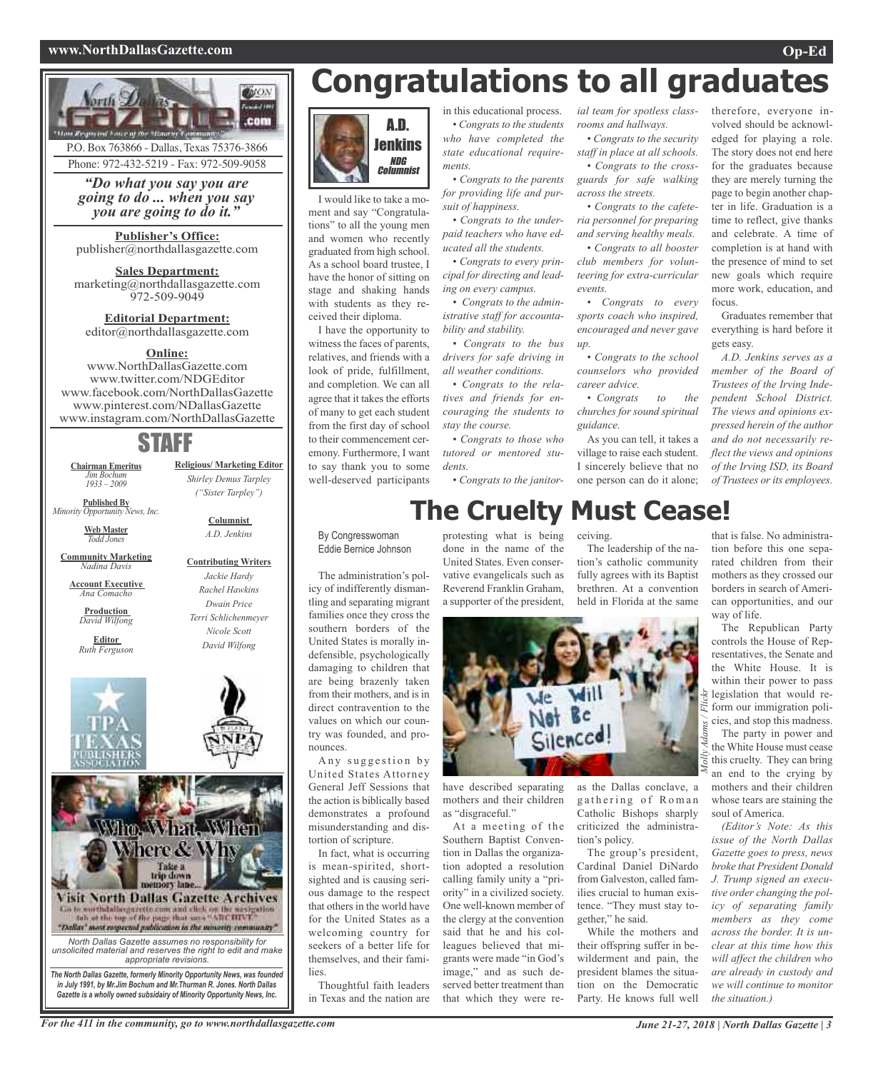#### **www.NorthDallasGazette.com Op-Ed**



Phone: 972-432-5219 - Fax: 972-509-9058

*"Do what you say you are going to do ... when you say you are going to do it."*

**Publisher's Office:** publisher@northdallasgazette.com

**Sales Department:** marketing@northdallasgazette.com 972-509-9049

**Editorial Department:** editor@northdallasgazette.com

#### **Online:**

www.NorthDallasGazette.com www.twitter.com/NDGEditor www.facebook.com/NorthDallasGazette www.pinterest.com/NDallasGazette www.instagram.com/NorthDallasGazette

## STAFF

**Religious/ Marketing Editor** *Shirley Demus Tarpley ("Sister Tarpley")*

> **Columnist** *A.D. Jenkins*

**Contributing Writers** *Jackie Hardy Rachel Hawkins Dwain Price Terri Schlichenmeyer Nicole Scott David Wilfong*

**Chairman Emeritus** *Jim Bochum 1933 – 2009*

**Published By** *Minority Opportunity News, Inc.*

> **Web Master** *Todd Jones*

**Community Marketing** *Nadina Davis*

**Account Executive** *Ana Comacho*

**Production** *David Wilfong*

**Editor** *Ruth Ferguson*





*The North Dallas Gazette, formerly Minority Opportunity News, was founded in July 1991, by Mr.Jim Bochum and Mr.Thurman R. Jones. North Dallas Gazette is a wholly owned subsidairy of Minority Opportunity News, Inc.*

# **Congratulations to all graduates**

*ial team for spotless classrooms and hallways.*

*across the streets.*

*events.*

*up.*

*career advice.*

*guidance.*

*• Congrats to the security staff in place at all schools. • Congrats to the crossguards for safe walking*

*• Congrats to the cafeteria personnel for preparing and serving healthy meals. • Congrats to all booster club members for volunteering for extra-curricular*

*• Congrats to every sports coach who inspired, encouraged and never gave*

*• Congrats to the school counselors who provided*

*• Congrats to the churches for sound spiritual*

As you can tell, it takes a village to raise each student. I sincerely believe that no

The leadership of the nation's catholic community fully agrees with its Baptist brethren. At a convention held in Florida at the same



I would like to take a moment and say "Congratulations" to all the young men and women who recently graduated from high school. As a school board trustee, I have the honor of sitting on stage and shaking hands with students as they received their diploma.

I have the opportunity to witness the faces of parents, relatives, and friends with a look of pride, fulfillment, and completion. We can all agree that it takes the efforts of many to get each student from the first day of school to their commencement ceremony. Furthermore, I want to say thank you to some well-deserved participants

in this educational process. *• Congrats to the students who have completed the state educational requirements.*

*• Congrats to the parents for providing life and pursuit of happiness.*

*• Congrats to the underpaid teachers who have educated all the students.*

*• Congrats to every principal for directing and leading on every campus.*

*• Congrats to the administrative staff for accountability and stability. • Congrats to the bus*

*drivers for safe driving in all weather conditions.*

*• Congrats to the relatives and friends for encouraging the students to stay the course. • Congrats to those who*

*tutored or mentored students.*

*• Congrats to the janitor-*

# **The Cruelty Must Cease!**

By Congresswoman Eddie Bernice Johnson

The administration's policy of indifferently dismantling and separating migrant families once they cross the southern borders of the United States is morally indefensible, psychologically damaging to children that are being brazenly taken from their mothers, and is in direct contravention to the values on which our country was founded, and pronounces.

Any suggestion by United States Attorney General Jeff Sessions that the action is biblically based demonstrates a profound misunderstanding and distortion of scripture.

In fact, what is occurring is mean-spirited, shortsighted and is causing serious damage to the respect that others in the world have for the United States as a welcoming country for seekers of a better life for themselves, and their families.

Thoughtful faith leaders in Texas and the nation are done in the name of the United States. Even conservative evangelicals such as Reverend Franklin Graham, a supporter of the president,



have described separating mothers and their children as "disgraceful."

At a meeting of the Southern Baptist Convention in Dallas the organization adopted a resolution calling family unity a "priority" in a civilized society. One well-known member of the clergy at the convention said that he and his colleagues believed that migrants were made "in God's image," and as such deserved better treatment than that which they were reas the Dallas conclave, a gathering of Roman Catholic Bishops sharply criticized the administration's policy.

The group's president, Cardinal Daniel DiNardo from Galveston, called families crucial to human existence. "They must stay together," he said.

While the mothers and their offspring suffer in bewilderment and pain, the president blames the situation on the Democratic Party. He knows full well

therefore, everyone involved should be acknowledged for playing a role. The story does not end here for the graduates because they are merely turning the page to begin another chapter in life. Graduation is a time to reflect, give thanks and celebrate. A time of completion is at hand with the presence of mind to set new goals which require more work, education, and focus.

Graduates remember that everything is hard before it gets easy.

*A.D. Jenkins serves as a member of the Board of Trustees of the Irving Independent School District. The views and opinions expressed herein of the author and do not necessarily reflect the views and opinions of the Irving ISD, its Board of Trustees or its employees.*

that is false. No administration before this one separated children from their mothers as they crossed our borders in search of American opportunities, and our way of life.

The Republican Party controls the House of Representatives, the Senate and the White House. It is within their power to pass legislation that would reform our immigration policies, and stop this madness.

*Molly A* The party in power and the White House must cease this cruelty. They can bring an end to the crying by mothers and their children whose tears are staining the soul of America.

*(Editor's Note: As this issue of the North Dallas Gazette goes to press, news broke that President Donald J. Trump signed an executive order changing the policy of separating family members as they come across the border. It is unclear at this time how this will affect the children who are already in custody and we will continue to monitor the situation.)*

one person can do it alone; ceiving.

protesting what is being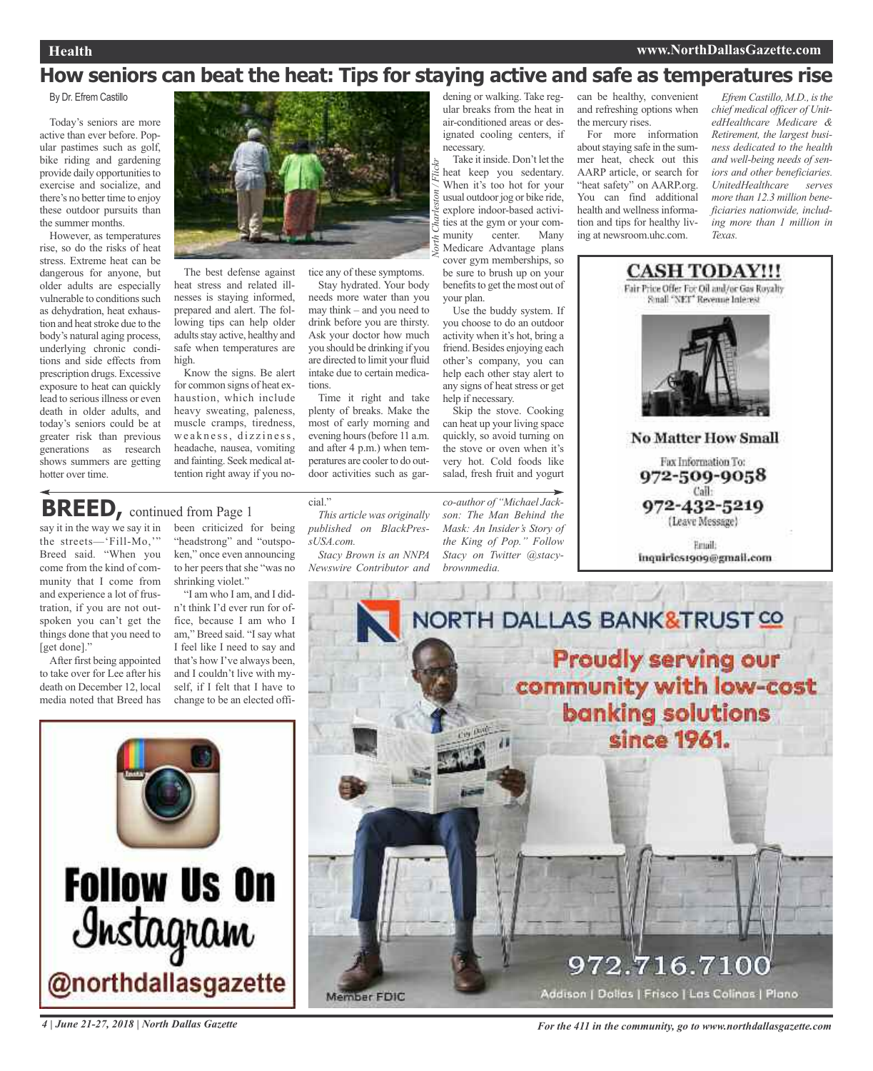## **Health www.NorthDallasGazette.com**

## **How seniors can beat the heat: Tips for staying active and safe as temperatures rise**

*North Charleston / Flickr*

By Dr. Efrem Castillo

Today's seniors are more active than ever before. Popular pastimes such as golf, bike riding and gardening provide daily opportunities to exercise and socialize, and there's no better time to enjoy these outdoor pursuits than the summer months.

However, as temperatures rise, so do the risks of heat stress. Extreme heat can be dangerous for anyone, but older adults are especially vulnerable to conditions such as dehydration, heat exhaustion and heat stroke due to the body's natural aging process, underlying chronic conditions and side effects from prescription drugs. Excessive exposure to heat can quickly lead to serious illness or even death in older adults, and today's seniors could be at greater risk than previous generations as research shows summers are getting hotter over time.



The best defense against heat stress and related illnesses is staying informed, prepared and alert. The following tips can help older adults stay active, healthy and safe when temperatures are high.

Know the signs. Be alert for common signs of heat exhaustion, which include heavy sweating, paleness, muscle cramps, tiredness, weakness, dizziness, headache, nausea, vomiting and fainting. Seek medical attention right away if you no-

been criticized for being "headstrong" and "outspoken," once even announcing to her peers that she "was no

"I am who I am, and I didn't think I'd ever run for office, because I am who I am," Breed said. "Isay what I feel like I need to say and that's how I've always been, and I couldn't live with myself, if I felt that I have to change to be an elected offi-

shrinking violet."

tice any of these symptoms. Stay hydrated. Your body needs more water than you

may think – and you need to drink before you are thirsty. Ask your doctor how much you should be drinking if you are directed to limit your fluid intake due to certain medications.

Time it right and take plenty of breaks. Make the most of early morning and evening hours(before 11 a.m. and after 4 p.m.) when temperatures are cooler to do outdoor activities such as gar-

**BREED,** continued from Page <sup>1</sup>

say it in the way we say it in the streets—'Fill-Mo,'" Breed said. "When you come from the kind of community that I come from and experience a lot of frustration, if you are not outspoken you can't get the things done that you need to [get done]."

After first being appointed to take over for Lee after his death on December 12, local media noted that Breed has



*This article was originally published on BlackPressUSA.com.*

*Stacy Brown is an NNPA Newswire Contributor and*

dening or walking. Take regular breaks from the heat in air-conditioned areas or designated cooling centers, if necessary.

Take it inside. Don't let the heat keep you sedentary. When it's too hot for your usual outdoor jog or bike ride, explore indoor-based activities at the gym or your community center. Many Medicare Advantage plans cover gym memberships, so be sure to brush up on your benefits to get the most out of your plan.

Use the buddy system. If you choose to do an outdoor activity when it's hot, bring a friend.Besides enjoying each other's company, you can help each other stay alert to any signs of heat stress or get help if necessary.

Skip the stove. Cooking can heat up your living space quickly, so avoid turning on the stove or oven when it's very hot. Cold foods like salad, fresh fruit and yogurt

*co-author of "Michael Jackson: The Man Behind the Mask: An Insider's Story of the King of Pop." Follow Stacy on Twitter @stacybrownmedia.*

can be healthy, convenient and refreshing options when the mercury rises.

For more information about staying safe in the summer heat, check out this AARP article, or search for "heat safety" on AARP.org. You can find additional health and wellness information and tips for healthy living at newsroom.uhc.com.

*Efrem Castillo, M.D., isthe chief medical officer of UnitedHealthcare Medicare & Retirement, the largest business dedicated to the health and well-being needs of seniors and other beneficiaries. UnitedHealthcare serves more than 12.3 million beneficiaries nationwide, including more than 1 million in Texas.*



Fax Information To: 972-509-9058 Call: 972-432-5219 (Leave Message)

Email: inquiries1909@gmail.com



**Follow Us On** Instagram @northdallasgazette

4 June 21-27, 2018 | North Dallas Gazette Service of The All in the community, go to www.northdallasgazette.com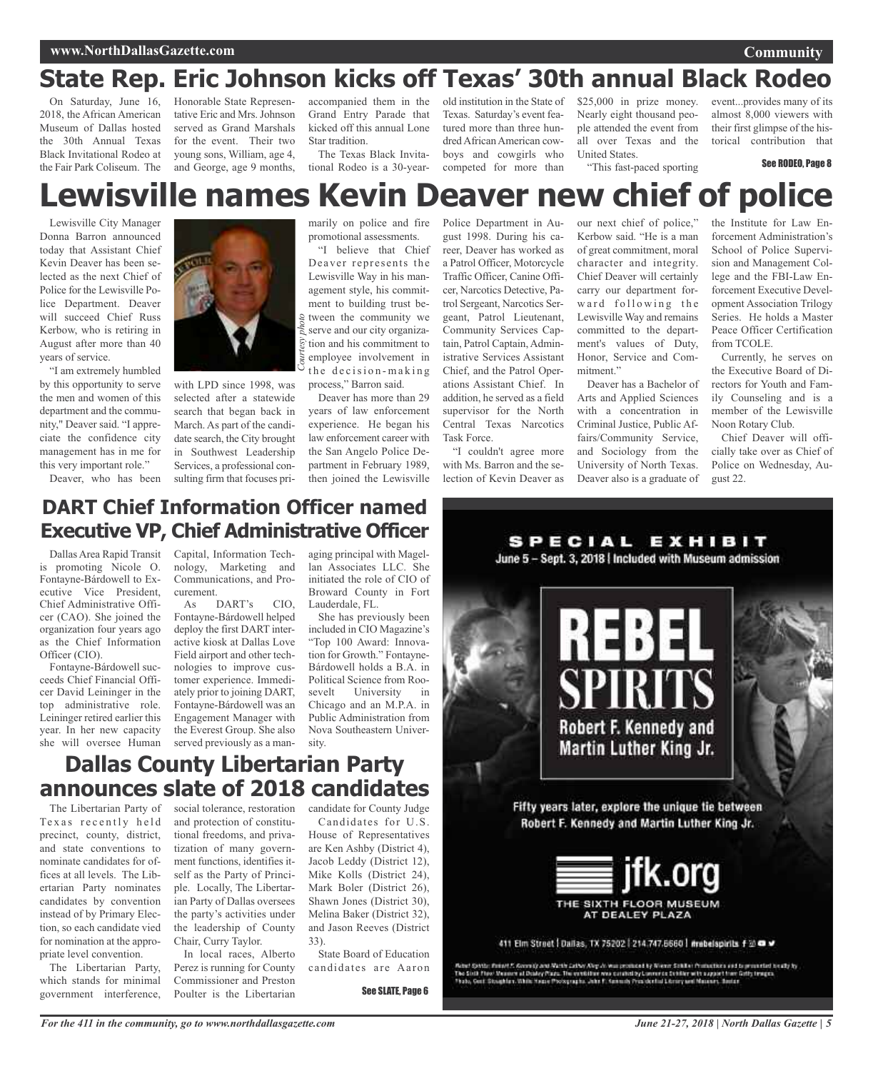#### **www.NorthDallasGazette.com**

## **State Rep. Eric Johnson kicks off Texas' 30th annual Black Rodeo**

On Saturday, June 16, 2018, the African American Museum of Dallas hosted the 30th Annual Texas Black Invitational Rodeo at the Fair Park Coliseum. The

Honorable State Representative Eric and Mrs.Johnson served as Grand Marshals for the event. Their two young sons, William, age 4, and George, age 9 months,

accompanied them in the Grand Entry Parade that kicked off this annual Lone Star tradition.

The Texas Black Invitational Rodeo is a 30-yearold institution in the State of Texas. Saturday's event featured more than three hundred African American cowboys and cowgirls who competed for more than

 $$25,000$  in prize money. Nearly eight thousand people attended the event from all over Texas and the United States.

"This fast-paced sporting

event...provides many of its almost 8,000 viewers with their first glimpse of the historical contribution that

See RODEO, Page 8

# **Lewisville names Kevin Deaver new chief of police**

Lewisville City Manager Donna Barron announced today that Assistant Chief Kevin Deaver has been selected as the next Chief of Police for the Lewisville Police Department. Deaver will succeed Chief Russ Kerbow, who is retiring in August after more than 40 years of service.

"I am extremely humbled by this opportunity to serve the men and women of this department and the community," Deaver said. "I appreciate the confidence city management has in me for this very important role."

Deaver, who has been



with LPD since 1998, was selected after a statewide search that began back in March. As part of the candidate search, the City brought in Southwest Leadership Services, a professional consulting firm that focuses primarily on police and fire promotional assessments.

"I believe that Chief Deaver represents the Lewisville Way in his management style, his commitment to building trust between the community we serve and our city organization and his commitment to employee involvement in the decision-making process," Barron said.

Deaver has more than 29 years of law enforcement experience. He began his law enforcement career with the San Angelo Police Department in February 1989, then joined the Lewisville Police Department in August 1998. During his career, Deaver has worked as a Patrol Officer, Motorcycle Traffic Officer, Canine Officer, Narcotics Detective, Patrol Sergeant, Narcotics Sergeant, Patrol Lieutenant, Community Services Captain, Patrol Captain, Administrative Services Assistant Chief, and the Patrol Operations Assistant Chief. In addition, he served as a field supervisor for the North Central Texas Narcotics Task Force.

"I couldn't agree more with Ms. Barron and the selection of Kevin Deaver as our next chief of police," Kerbow said. "He is a man of great commitment, moral character and integrity. Chief Deaver will certainly carry our department forward following the Lewisville Way and remains committed to the department's values of Duty, Honor, Service and Commitment."

Deaver has a Bachelor of Arts and Applied Sciences with a concentration in Criminal Justice, Public Affairs/Community Service, and Sociology from the University of North Texas. Deaver also is a graduate of

SPECIAL EXHIBIT

the Institute for Law Enforcement Administration's School of Police Supervision and Management College and the FBI-Law Enforcement Executive Development Association Trilogy Series. He holds a Master Peace Officer Certification from TCOLE.

Currently, he serves on the Executive Board of Directors for Youth and Family Counseling and is a member of the Lewisville Noon Rotary Club.

Chief Deaver will officially take over as Chief of Police on Wednesday, August 22.

## **DART Chief Information Officer named Executive VP, Chief Administrative Officer**

Dallas Area Rapid Transit is promoting Nicole O. Fontayne-Bárdowell to Executive Vice President, Chief Administrative Officer (CAO). She joined the organization four years ago as the Chief Information Officer (CIO).

Fontayne-Bárdowell succeeds Chief Financial Officer David Leininger in the top administrative role. Leininger retired earlier this year. In her new capacity she will oversee Human Capital, Information Technology, Marketing and Communications, and Procurement.

As DART's CIO, Fontayne-Bárdowell helped deploy the first DART interactive kiosk at Dallas Love Field airport and other technologies to improve customer experience. Immediately prior to joining DART, Fontayne-Bárdowell was an Engagement Manager with the Everest Group. She also served previously as a managing principal with Magellan Associates LLC. She initiated the role of CIO of Broward County in Fort Lauderdale, FL.

She has previously been included in CIO Magazine's "Top 100 Award: Innovation for Growth." Fontayne-Bárdowell holds a B.A. in Political Science from Roosevelt University in Chicago and an M.P.A. in Public Administration from Nova Southeastern University.

## **Dallas County Libertarian Party announces slate of 2018 candidates**

The Libertarian Party of Texas recently held precinct, county, district, and state conventions to nominate candidates for offices at all levels. The Libertarian Party nominates candidates by convention instead of by Primary Election, so each candidate vied for nomination at the appropriate level convention.

The Libertarian Party, which stands for minimal government interference,

social tolerance, restoration and protection of constitutional freedoms, and privatization of many government functions, identifies itself as the Party of Principle. Locally, The Libertarian Party of Dallas oversees the party's activities under the leadership of County Chair, Curry Taylor.

In local races, Alberto Perez is running for County Commissioner and Preston Poulter is the Libertarian candidate for County Judge Candidates for U.S. House of Representatives are Ken Ashby (District 4), Jacob Leddy (District 12), Mike Kolls (District 24), Mark Boler (District 26), Shawn Jones (District 30), Melina Baker (District 32), and Jason Reeves (District 33).

State Board of Education candidates are Aaron

See SLATE, Page 6



The Sixth Phoe Vanners at Dealey Page. The existence was connectly Converce Center with appart their folly trages.<br>Thats, Cast Straghton White House Protographs, John P. Sennich Principal Literary and Massacr, Souton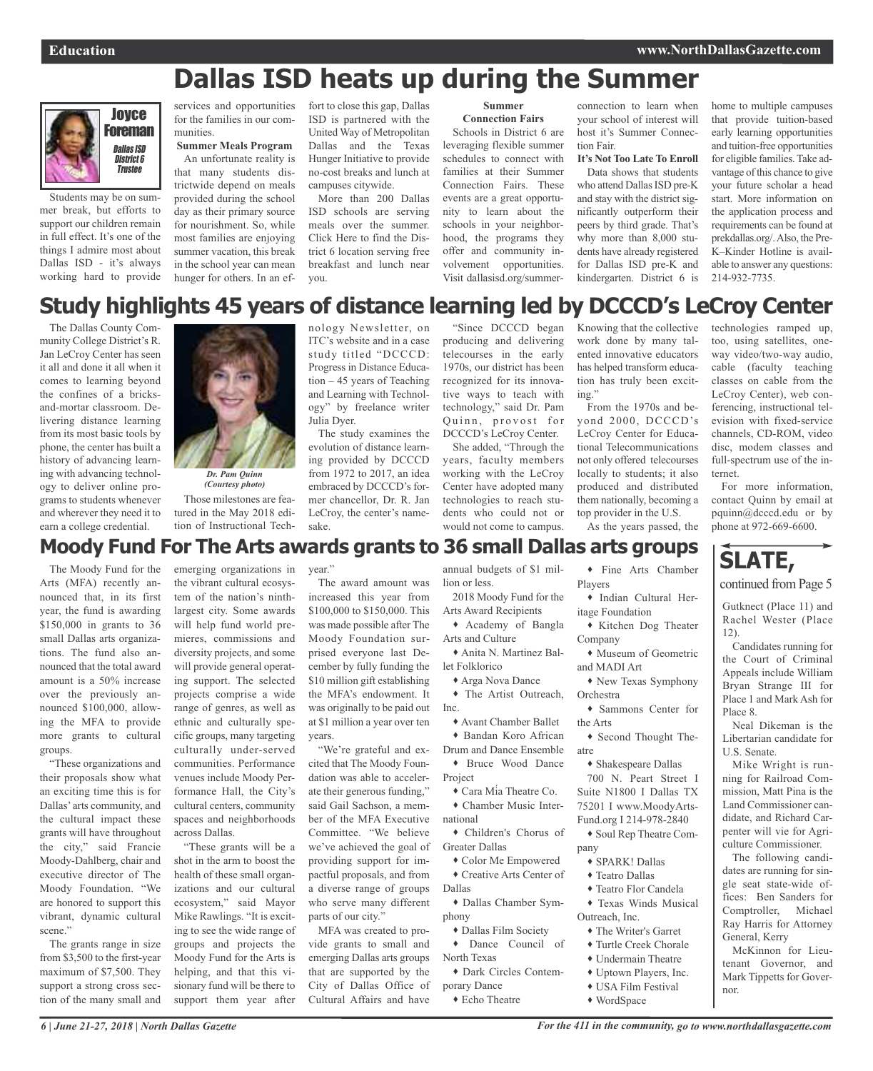## **Dallas ISD heats up during the Summer**



Students may be on summer break, but efforts to support our children remain in full effect. It's one of the things I admire most about Dallas ISD - it's always working hard to provide

services and opportunities for the families in our communities. **Summer Meals Program**

An unfortunate reality is that many students districtwide depend on meals provided during the school day as their primary source for nourishment. So, while most families are enjoying summer vacation, this break in the school year can mean hunger for others. In an ef-

fort to close this gap, Dallas ISD is partnered with the United Way of Metropolitan Dallas and the Texas Hunger Initiative to provide no-cost breaks and lunch at campuses citywide.

More than 200 Dallas ISD schools are serving meals over the summer. Click Here to find the District 6 location serving free breakfast and lunch near you.

#### **Summer Connection Fairs**

Schools in District 6 are leveraging flexible summer schedules to connect with families at their Summer Connection Fairs. These events are a great opportunity to learn about the schools in your neighborhood, the programs they offer and community involvement opportunities. Visit dallasisd.org/summer-

connection to learn when your school of interest will host it's Summer Connection Fair.

## **It's Not Too Late To Enroll**

Data shows that students who attend Dallas ISD pre-K and stay with the district significantly outperform their peers by third grade. That's why more than 8,000 students have already registered for Dallas ISD pre-K and kindergarten. District 6 is

home to multiple campuses that provide tuition-based early learning opportunities and tuition-free opportunities for eligible families.Take advantage of this chance to give your future scholar a head start. More information on the application process and requirements can be found at prekdallas.org/.Also, the Pre-K–Kinder Hotline is available to answer any questions: 214-932-7735.

## **Study highlights 45 years of distance learning led by DCCCD's LeCroy Center**

The Dallas County Community College District's R. Jan LeCroy Center has seen it all and done it all when it comes to learning beyond the confines of a bricksand-mortar classroom. Delivering distance learning from its most basic tools by phone, the center has built a history of advancing learning with advancing technology to deliver online programs to students whenever and wherever they need it to earn a college credential.



Those milestones are featured in the May 2018 edition of Instructional Tech-

emerging organizations in

nology Newsletter, on ITC's website and in a case study titled "DCCCD: Progress in Distance Education – 45 years of Teaching and Learning with Technology" by freelance writer Julia Dyer.

The study examines the evolution of distance learning provided by DCCCD from 1972 to 2017, an idea embraced by DCCCD's former chancellor, Dr. R. Jan LeCroy, the center's namesake.

"Since DCCCD began producing and delivering telecourses in the early 1970s, our district has been recognized for its innovative ways to teach with technology," said Dr. Pam Quinn, provost for DCCCD's LeCroy Center.

She added, "Through the years, faculty members working with the LeCroy Center have adopted many technologies to reach students who could not or would not come to campus.

Knowing that the collective work done by many talented innovative educators has helped transform education has truly been exciting."

From the 1970s and beyond 2000, DCCCD's LeCroy Center for Educational Telecommunications not only offered telecourses locally to students; it also produced and distributed them nationally, becoming a top provider in the U.S.

As the years passed, the

technologies ramped up, too, using satellites, oneway video/two-way audio, cable (faculty teaching classes on cable from the LeCroy Center), web conferencing, instructional television with fixed-service channels, CD-ROM, video disc, modem classes and full-spectrum use of the internet.

For more information, contact Quinn by email at pquinn@dcccd.edu or by phone at 972-669-6600.

## **Moody Fund For The Arts awards grants to 36 small Dallas arts groups**

The Moody Fund for the Arts (MFA) recently announced that, in its first year, the fund is awarding \$150,000 in grants to 36 small Dallas arts organizations. The fund also announced that the total award amount is a 50% increase over the previously announced \$100,000, allowing the MFA to provide more grants to cultural groups.

"These organizations and their proposals show what an exciting time this is for Dallas' arts community, and the cultural impact these grants will have throughout the city," said Francie Moody-Dahlberg, chair and executive director of The Moody Foundation. "We are honored to support this vibrant, dynamic cultural scene."

The grants range in size from \$3,500 to the first-year maximum of \$7,500. They support a strong cross section of the many small and

the vibrant cultural ecosystem of the nation's ninthlargest city. Some awards will help fund world premieres, commissions and diversity projects, and some will provide general operating support. The selected projects comprise a wide range of genres, as well as ethnic and culturally specific groups, many targeting culturally under-served communities. Performance venues include Moody Performance Hall, the City's cultural centers, community spaces and neighborhoods across Dallas.

"These grants will be a shot in the arm to boost the health of these small organizations and our cultural ecosystem," said Mayor Mike Rawlings. "It is exciting to see the wide range of groups and projects the Moody Fund for the Arts is helping, and that this visionary fund will be there to support them year after

year."

The award amount was increased this year from \$100,000 to \$150,000. This was made possible after The Moody Foundation surprised everyone last December by fully funding the \$10 million gift establishing the MFA's endowment. It was originally to be paid out at \$1 million a year over ten years.

"We're grateful and excited that The Moody Foundation was able to accelerate their generous funding," said Gail Sachson, a member of the MFA Executive Committee. "We believe we've achieved the goal of providing support for impactful proposals, and from a diverse range of groups who serve many different parts of our city."

MFA was created to provide grants to small and emerging Dallas arts groups that are supported by the City of Dallas Office of Cultural Affairs and have

annual budgets of \$1 million or less. 2018 Moody Fund for the

Arts Award Recipients Academy of Bangla Arts and Culture

 Anita N. Martinez Ballet Folklorico

Arga Nova Dance

 The Artist Outreach, Inc. Avant Chamber Ballet

 Bandan Koro African Drum and Dance Ensemble

 Bruce Wood Dance Project

 Cara Mía Theatre Co. Chamber Music Inter-

national Children's Chorus of

Greater Dallas Color Me Empowered Creative Arts Center of

Dallas Dallas Chamber Sym-

phony

 Dallas Film Society Dance Council of

North Texas Dark Circles Contem-

porary Dance

Echo Theatre

 Fine Arts Chamber Players

 Indian Cultural Heritage Foundation

 Kitchen Dog Theater Company

 Museum of Geometric and MADI Art

New Texas Symphony

Orchestra Sammons Center for the Arts

 Second Thought Theatre

 Shakespeare Dallas 700 N. Peart Street I Suite N1800 I Dallas TX 75201 I www.MoodyArts-Fund.org I 214-978-2840

 Soul Rep Theatre Company

SPARK! Dallas

- Teatro Dallas
- Teatro Flor Candela Texas Winds Musical
- Outreach, Inc.
	- The Writer's Garret
	- Turtle Creek Chorale
	- Undermain Theatre
	- Uptown Players, Inc.
	- USA Film Festival
	- WordSpace

**SLATE,**

continued from Page 5

Gutknect (Place 11) and Rachel Wester (Place 12).

Candidates running for the Court of Criminal Appeals include William Bryan Strange III for Place 1 and Mark Ash for Place 8.

Neal Dikeman is the Libertarian candidate for U.S. Senate.

Mike Wright is running for Railroad Commission, Matt Pina is the Land Commissioner candidate, and Richard Carpenter will vie for Agriculture Commissioner.

The following candidates are running for single seat state-wide offices: Ben Sanders for Comptroller, Michael Ray Harris for Attorney General, Kerry

McKinnon for Lieutenant Governor, and Mark Tippetts for Governor.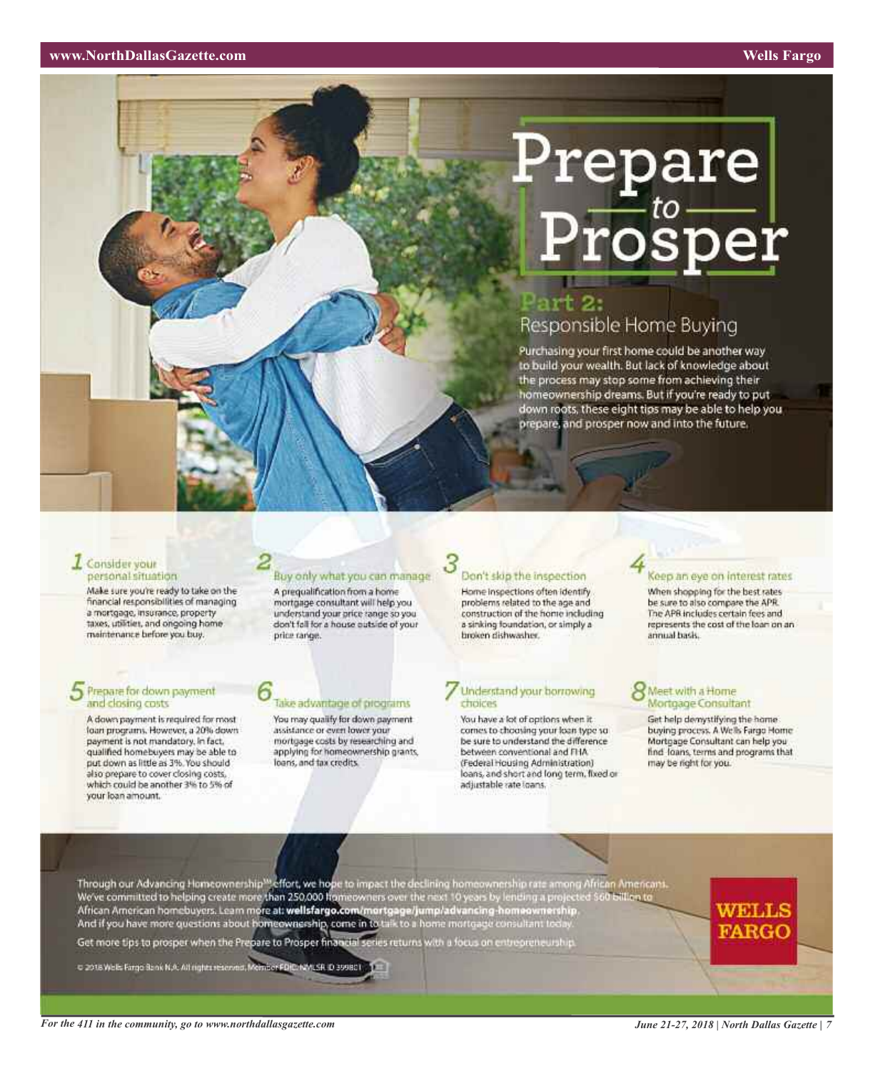# Prepare  ${\bf Prosper}$

## ırt 2. Responsible Home Buying

Purchasing your first home could be another way to build your wealth. But lack of knowledge about the process may stop some from achieving their homeownership dreams. But if you're ready to put down roots, these eight tips may be able to help you prepare, and prosper now and into the future.

#### **Z** Consider your personal situation

Make sure you're ready to take on the financial responsibilities of managing a mortgage, insurance, property taxes, utilities, and ongoing home maintenance before you buy.

## $5$  Prepare for down payment and closing costs

A down payment is required for most foan programs. However, a 20% down<br>payment is not mandatory. In fact, qualified homebuyers may be able to put down as little as 3%. You should also prepare to cover closing costs, which could be another 3% to 5% of your loan amount.

## Buy only what you can manage

A prequalification from a home mortgage consultant will help you understand your price range so you don't fall for a house outside of your price range.

## Take advantage of programs

You may qualify for down payment assistance or even lower your mortgage costs by researching and applying for homeownership grants.<br>loans, and tax credits.

## Don't slop the inspection

Home Inspections often identify problems related to the age and construction of the home including a sinking foundation, or simply a broken dishwasher.

#### Understand your borrowing choices

You have a lot of options when it. comes to choosing your loan type so be sure to understand the difference between conventional and FHA. (Federal Housing Administration) loans, and short and long term, fixed or adjustable rate loans.

## Keep an eye on interest rates

When shopping for the best rates be sure to also compare the APR. The APR includes certain fees and represents the cost of the loan on an annual basis.

#### Meet with a Home Mortgage Consultant

Get help demystifying the home List halp demystriying the nome<br>buying process. A Wells Fargo Home<br>Mortgage Consultant can help you<br>find Toans, terms and programs that may be right for you.

Through our Advancing Homeownership<sup>ssi</sup>effort, we hope to impact the declining homeownership rate among African Americans.<br>We've committed to helping create more than 250,000 homeowners over the rest 10 years by lending a

Get more tips to prosper when the Prepare to Prosper financial series returns with a focus on entrepreneurship.

C 2018 Wells Fargo Bank N.A. All rights reserved, Member FD(C:NWLSR, D 399801)

WELLS **FARGO**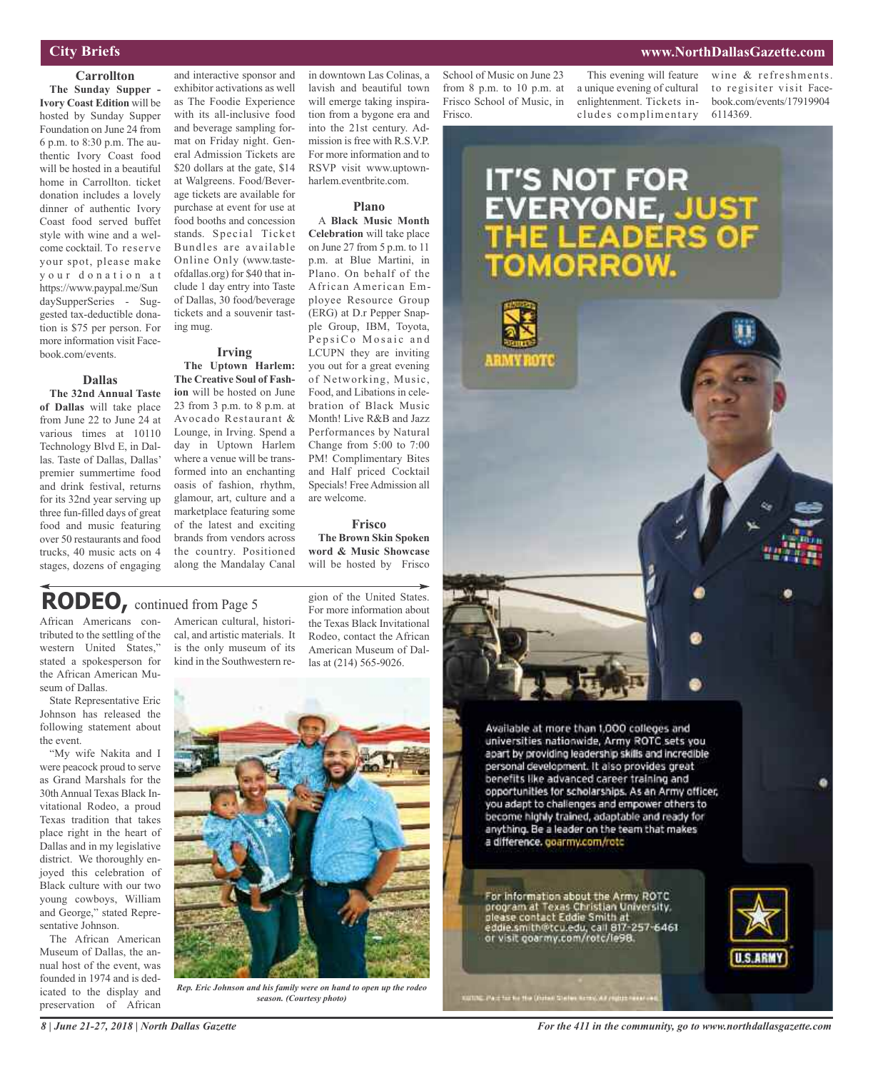## **City Briefs**

#### **Carrollton**

**The Sunday Supper - Ivory Coast Edition** will be hosted by Sunday Supper Foundation on June 24 from 6 p.m. to 8:30 p.m. The authentic Ivory Coast food will be hosted in a beautiful home in Carrollton. ticket donation includes a lovely dinner of authentic Ivory Coast food served buffet style with wine and a welcome cocktail. To reserve your spot, please make y our donation at https://www.paypal.me/Sun daySupperSeries - Suggested tax-deductible donation is \$75 per person. For more information visit Facebook.com/events.

**Dallas**

**The 32nd Annual Taste of Dallas** will take place from June 22 to June 24 at various times at 10110 Technology Blvd E, in Dallas. Taste of Dallas, Dallas' premier summertime food and drink festival, returns for its 32nd year serving up three fun-filled days of great food and music featuring over 50 restaurants and food trucks, 40 music acts on 4 stages, dozens of engaging

and interactive sponsor and exhibitor activations as well as The Foodie Experience with its all-inclusive food and beverage sampling format on Friday night. General Admission Tickets are \$20 dollars at the gate, \$14 at Walgreens. Food/Beverage tickets are available for purchase at event for use at food booths and concession stands. Special Ticket Bundles are available Online Only (www.tasteofdallas.org) for \$40 that include 1 day entry into Taste of Dallas, 30 food/beverage tickets and a souvenir tasting mug.

**Irving**

**The Uptown Harlem: The Creative Soul of Fashion** will be hosted on June 23 from 3 p.m. to 8 p.m. at Avocado Restaurant & Lounge, in Irving. Spend a day in Uptown Harlem where a venue will be transformed into an enchanting oasis of fashion, rhythm, glamour, art, culture and a marketplace featuring some of the latest and exciting brands from vendors across the country. Positioned along the Mandalay Canal

in downtown Las Colinas, a lavish and beautiful town will emerge taking inspiration from a bygone era and into the 21st century. Admission is free with  $R$ ,  $S$ ,  $VP$ For more information and to RSVP visit www.uptownharlem.eventbrite.com.

#### **Plano**

A **Black Music Month Celebration** will take place on June 27 from 5 p.m. to 11 p.m. at Blue Martini, in Plano. On behalf of the African American Employee Resource Group (ERG) at D.r Pepper Snapple Group, IBM, Toyota, PepsiCo Mosaic and LCUPN they are inviting you out for a great evening of Networking, Music, Food, and Libations in celebration of Black Music Month! Live R&B and Jazz Performances by Natural Change from 5:00 to 7:00 PM! Complimentary Bites and Half priced Cocktail Specials! Free Admission all are welcome.

#### **Frisco**

**The Brown Skin Spoken word & Music Showcase** will be hosted by Frisco

## **RODEO,** continued from Page <sup>5</sup>

African Americans contributed to the settling of the western United States," stated a spokesperson for the African American Museum of Dallas.

State Representative Eric Johnson has released the following statement about the event.

"My wife Nakita and I were peacock proud to serve as Grand Marshals for the 30thAnnual Texas Black Invitational Rodeo, a proud Texas tradition that takes place right in the heart of Dallas and in my legislative district. We thoroughly enjoyed this celebration of Black culture with our two young cowboys, William and George," stated Representative Johnson.

The African American Museum of Dallas, the annual host of the event, was founded in 1974 and is dedicated to the display and preservation of African

American cultural, historical, and artistic materials. It is the only museum of its kind in the Southwestern region of the United States. For more information about the Texas Black Invitational Rodeo, contact the African American Museum of Dallas at (214) 565-9026.



*Rep. Eric Johnson and his family were on hand to open up the rodeo season. (Courtesy photo)*

School of Music on June 23 from 8 p.m. to 10 p.m. at Frisco School of Music, in Frisco.

This evening will feature a unique evening of cultural enlightenment. Tickets includes complimentary

wine & refreshments. to regisiter visit Facebook.com/events/17919904 6114369.

**www.NorthDallasGazette.com**



For information about the Army ROTC program at Texas Christian University,<br>please contact Eddie Smith at<br>eddie.smith@tcu.edu, call 817-257-6461<br>or visit goarmy.com/rotc/le98.

No. I've of the the the Children Sheller wome, we can be ready



*For the 411 in the community, go to www.northdallasgazette.com*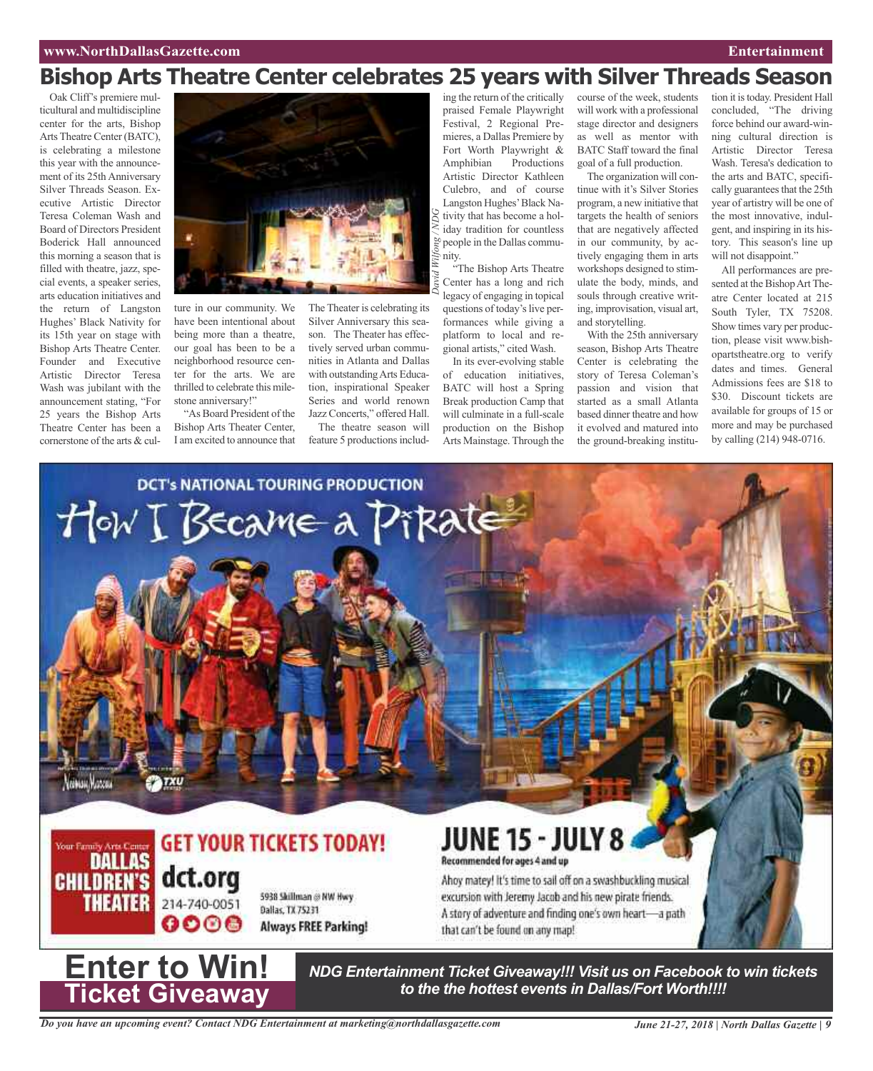### **www.NorthDallasGazette.com Entertainment**

## **Bishop Arts Theatre Center celebrates 25 years with Silver Threads Season**

*David*

*Wilfong / ND*

*G*

Oak Cliff's premiere multicultural and multidiscipline center for the arts, Bishop Arts Theatre Center (BATC), is celebrating a milestone this year with the announcement of its 25th Anniversary Silver Threads Season. Executive Artistic Director Teresa Coleman Wash and Board of Directors President Boderick Hall announced this morning a season that is filled with theatre, jazz, special events, a speaker series, arts education initiatives and the return of Langston Hughes' Black Nativity for its 15th year on stage with Bishop Arts Theatre Center. Founder and Executive Artistic Director Teresa Wash was jubilant with the announcement stating, "For 25 years the Bishop Arts Theatre Center has been a cornerstone of the arts & cul-



ture in our community. We have been intentional about being more than a theatre, our goal has been to be a neighborhood resource center for the arts. We are thrilled to celebrate this milestone anniversary!"

"As Board President of the Bishop Arts Theater Center, I am excited to announce that

The Theater is celebrating its Silver Anniversary this season. The Theater has effectively served urban communities in Atlanta and Dallas with outstandingArts Education, inspirational Speaker Series and world renown Jazz Concerts," offered Hall.

The theatre season will feature 5 productions including the return of the critically praised Female Playwright Festival, 2 Regional Premieres, a Dallas Premiere by Fort Worth Playwright & Amphibian Productions Artistic Director Kathleen Culebro, and of course Langston Hughes'Black Nativity that has become a holiday tradition for countless people in the Dallas community. "The Bishop Arts Theatre

Center has a long and rich legacy of engaging in topical questions of today's live performances while giving a platform to local and regional artists," cited Wash.

In its ever-evolving stable of education initiatives, BATC will host a Spring Break production Camp that will culminate in a full-scale production on the Bishop Arts Mainstage. Through the

course of the week, students will work with a professional stage director and designers as well as mentor with BATC Staff toward the final goal of a full production.

The organization will continue with it's Silver Stories program, a new initiative that targets the health of seniors that are negatively affected in our community, by actively engaging them in arts workshops designed to stimulate the body, minds, and souls through creative writing, improvisation, visual art, and storytelling.

With the 25th anniversary season, Bishop Arts Theatre Center is celebrating the story of Teresa Coleman's passion and vision that started as a small Atlanta based dinner theatre and how it evolved and matured into the ground-breaking institution it is today. President Hall concluded, "The driving force behind our award-winning cultural direction is Artistic Director Teresa Wash. Teresa's dedication to the arts and BATC, specifically guarantees that the 25th year of artistry will be one of the most innovative, indulgent, and inspiring in its history. This season's line up will not disappoint."

All performances are presented at the Bishop Art Theatre Center located at 215 South Tyler, TX 75208. Show times vary per production, please visit www.bishopartstheatre.org to verify dates and times. General Admissions fees are \$18 to \$30. Discount tickets are available for groups of 15 or more and may be purchased by calling (214) 948-0716.



**Enter to Win! Ticket Giveaway**

*NDG Entertainment Ticket Giveaway!!! Visit us on Facebook to win tickets to the the hottest events in Dallas/Fort Worth!!!!*

*Do you have an upcoming event? Contact NDG Entertainment at marketing@northdallasgazette.com*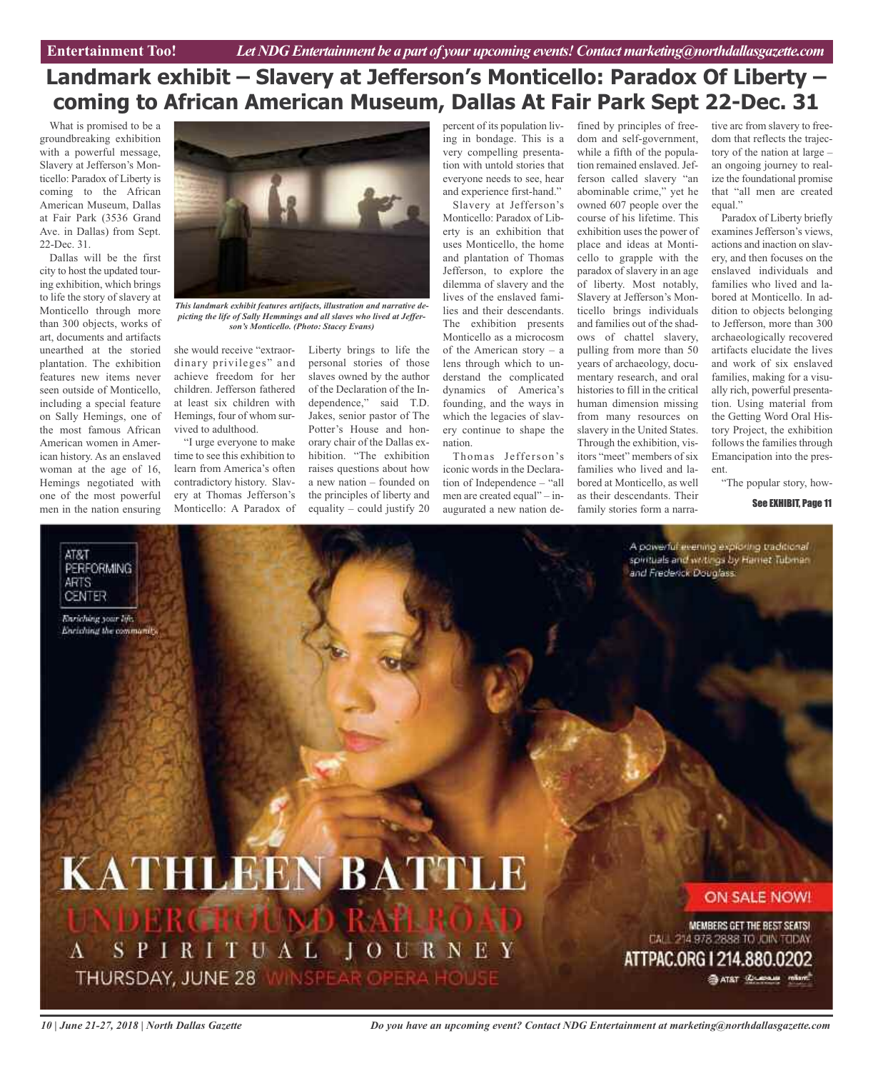## **Landmark exhibit – Slavery at Jefferson's Monticello: Paradox Of Liberty – coming to African American Museum, Dallas At Fair Park Sept 22-Dec. 31**

What is promised to be a groundbreaking exhibition with a powerful message, Slavery at Jefferson's Monticello: Paradox of Liberty is coming to the African American Museum, Dallas at Fair Park (3536 Grand Ave. in Dallas) from Sept. 22-Dec. 31.

Dallas will be the first city to host the updated touring exhibition, which brings to life the story of slavery at Monticello through more than 300 objects, works of art, documents and artifacts unearthed at the storied plantation. The exhibition features new items never seen outside of Monticello, including a special feature on Sally Hemings, one of the most famous African American women in American history. As an enslaved woman at the age of 16, Hemings negotiated with one of the most powerful men in the nation ensuring

AT&T

**ARTS CENTER** 

**PERFORMING** 

Enriching your life. Enriching the commands,



*This landmark exhibit features artifacts, illustration and narrative depicting the life of Sally Hemmings and all slaves who lived at Jefferson's Monticello. (Photo: Stacey Evans)*

she would receive "extraordinary privileges" and achieve freedom for her children. Jefferson fathered at least six children with Hemings, four of whom survived to adulthood.

"I urge everyone to make time to see this exhibition to learn from America's often contradictory history. Slavery at Thomas Jefferson's Monticello: A Paradox of

Liberty brings to life the personal stories of those slaves owned by the author of the Declaration of the Independence," said T.D. Jakes, senior pastor of The Potter's House and honorary chair of the Dallas exhibition. "The exhibition raises questions about how a new nation – founded on the principles of liberty and equality – could justify 20

percent of its population living in bondage. This is a very compelling presentation with untold stories that everyone needs to see, hear and experience first-hand."

Slavery at Jefferson's Monticello: Paradox of Liberty is an exhibition that uses Monticello, the home and plantation of Thomas Jefferson, to explore the dilemma of slavery and the lives of the enslaved families and their descendants. The exhibition presents Monticello as a microcosm of the American story – a lens through which to understand the complicated dynamics of America's founding, and the ways in which the legacies of slavery continue to shape the nation.

Thomas Jefferson's iconic words in the Declaration of Independence – "all men are created equal" – inaugurated a new nation defined by principles of freedom and self-government, while a fifth of the population remained enslaved. Jefferson called slavery "an abominable crime," yet he owned 607 people over the course of his lifetime. This exhibition uses the power of place and ideas at Monticello to grapple with the paradox of slavery in an age of liberty. Most notably, Slavery at Jefferson's Monticello brings individuals and families out of the shadows of chattel slavery, pulling from more than 50 years of archaeology, documentary research, and oral histories to fill in the critical human dimension missing from many resources on slavery in the United States. Through the exhibition, visitors "meet" members of six families who lived and labored at Monticello, as well as their descendants. Their family stories form a narra-

tive arc from slavery to freedom that reflects the trajectory of the nation at large – an ongoing journey to realize the foundational promise that "all men are created equal."

Paradox of Liberty briefly examines Jefferson's views, actions and inaction on slavery, and then focuses on the enslaved individuals and families who lived and labored at Monticello. In addition to objects belonging to Jefferson, more than 300 archaeologically recovered artifacts elucidate the lives and work of six enslaved families, making for a visually rich, powerful presentation. Using material from the Getting Word Oral History Project, the exhibition follows the families through Emancipation into the present.

"The popular story, how-

See EXHIBIT, Page 11

A powerful evening exploring traditional spirituals and writings by Hamet Tubman and Frederick Douglass:

# **KATHLEEN BATTLE**

SPIRITUAL JOURNEY  $\Lambda$ THURSDAY, JUNE 28 WINSPEAR OPER

ON SALE NOW!

MEMBERS GET THE BEST SEATS! CALL 214 978 2888 TO JOIN TODAY

ATTPAC.ORG I 214.880.0202 **BATRY CLERAL INSIDE** 

*10 | June 21-27, 2018 | North Dallas Gazette*

*Do you have an upcoming event? Contact NDG Entertainment at marketing@northdallasgazette.com*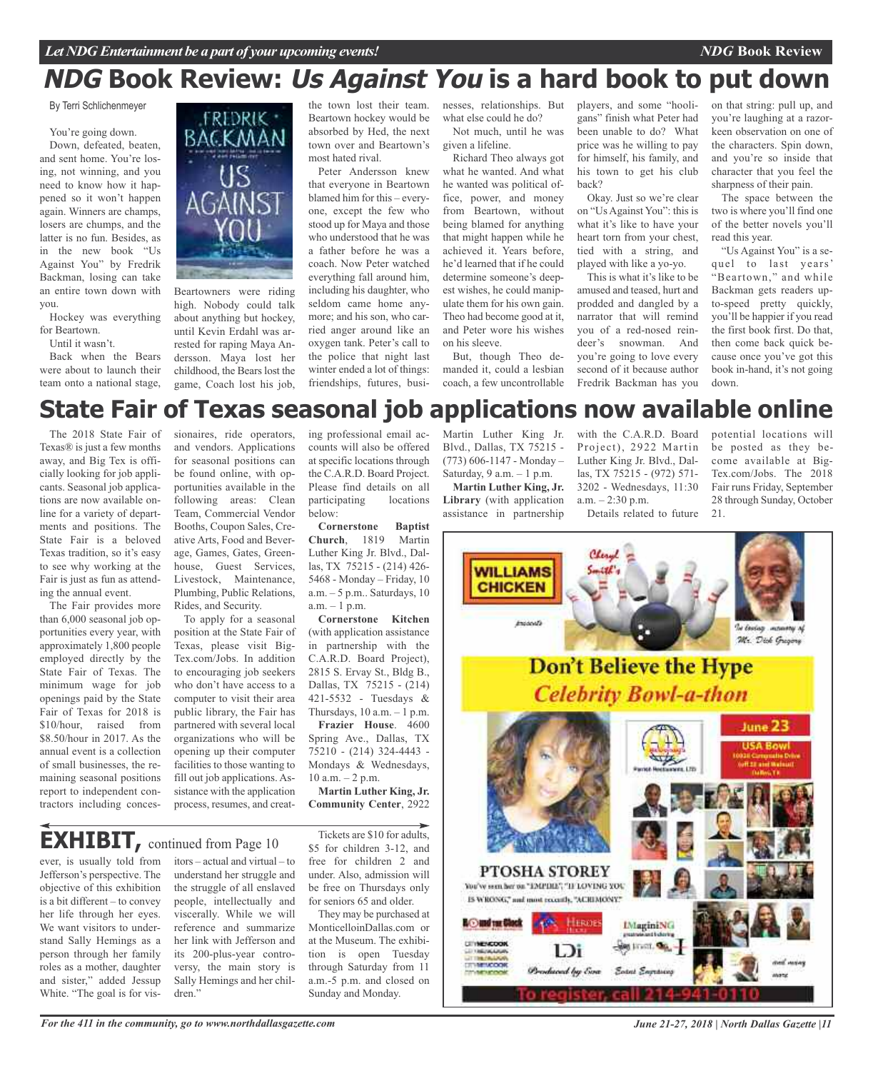## **NDG Book Review: Us Against You is a hard book to put down**

#### By Terri Schlichenmeyer

You're going down.

Down, defeated, beaten, and sent home. You're losing, not winning, and you need to know how it happened so it won't happen again. Winners are champs, losers are chumps, and the latter is no fun. Besides, as in the new book "Us Against You" by Fredrik Backman, losing can take an entire town down with you.

Hockey was everything for Beartown.

Until it wasn't.

Back when the Bears were about to launch their team onto a national stage,



Beartowners were riding high. Nobody could talk about anything but hockey, until Kevin Erdahl was arrested for raping Maya Andersson. Maya lost her childhood, the Bears lost the game, Coach lost his job,

the town lost their team. Beartown hockey would be absorbed by Hed, the next town over and Beartown's most hated rival.

Peter Andersson knew that everyone in Beartown blamed him for this – everyone, except the few who stood up for Maya and those who understood that he was a father before he was a coach. Now Peter watched everything fall around him, including his daughter, who seldom came home anymore; and his son, who carried anger around like an oxygen tank. Peter's call to the police that night last winter ended a lot of things: friendships, futures, businesses, relationships. But what else could he do?

Not much, until he was given a lifeline.

Richard Theo always got what he wanted. And what he wanted was political office, power, and money from Beartown, without being blamed for anything that might happen while he achieved it. Years before, he'd learned that if he could determine someone's deepest wishes, he could manipulate them for his own gain. Theo had become good at it, and Peter wore his wishes on his sleeve.

But, though Theo demanded it, could a lesbian coach, a few uncontrollable players, and some "hooligans" finish what Peter had been unable to do? What price was he willing to pay for himself, his family, and his town to get his club back?

Okay. Just so we're clear on "Us Against You": this is what it's like to have your heart torn from your chest, tied with a string, and played with like a yo-yo.

This is what it's like to be amused and teased, hurt and prodded and dangled by a narrator that will remind you of a red-nosed reindeer's snowman. And you're going to love every second of it because author Fredrik Backman has you

on that string: pull up, and you're laughing at a razorkeen observation on one of the characters. Spin down, and you're so inside that character that you feel the sharpness of their pain.

*NDG* **Book Review**

The space between the two is where you'll find one of the better novels you'll read this year.

"Us Against You" is a sequel to last years' "Beartown," and while Backman gets readers upto-speed pretty quickly, you'll be happier if you read the first book first. Do that, then come back quick because once you've got this book in-hand, it's not going down.

## **State Fair of Texas seasonal job applications now available online**

The 2018 State Fair of Texas® is just a few months away, and Big Tex is officially looking for job applicants. Seasonal job applications are now available online for a variety of departments and positions. The State Fair is a beloved Texas tradition, so it's easy to see why working at the Fair is just as fun as attending the annual event.

The Fair provides more than 6,000 seasonal job opportunities every year, with approximately 1,800 people employed directly by the State Fair of Texas. The minimum wage for job openings paid by the State Fair of Texas for 2018 is \$10/hour, raised from \$8.50/hour in 2017. As the annual event is a collection of small businesses, the remaining seasonal positions report to independent contractors including conces-

sionaires, ride operators, and vendors. Applications for seasonal positions can be found online, with opportunities available in the following areas: Clean Team, Commercial Vendor Booths, Coupon Sales, Creative Arts, Food and Beverage, Games, Gates, Greenhouse, Guest Services, Livestock, Maintenance, Plumbing, Public Relations, Rides, and Security.

To apply for a seasonal position at the State Fair of Texas, please visit Big-Tex.com/Jobs. In addition to encouraging job seekers who don't have access to a computer to visit their area public library, the Fair has partnered with several local organizations who will be opening up their computer facilities to those wanting to fill out job applications. Assistance with the application process, resumes, and creat-

ing professional email accounts will also be offered at specific locations through the C.A.R.D. Board Project. Please find details on all participating locations below:

**Cornerstone Baptist Church**, 1819 Martin Luther King Jr. Blvd., Dallas, TX 75215 - (214) 426- 5468 - Monday – Friday, 10 a.m. – 5 p.m.. Saturdays, 10  $a.m. - 1 p.m.$ 

**Cornerstone Kitchen** (with application assistance in partnership with the C.A.R.D. Board Project), 2815 S. Ervay St., Bldg B., Dallas, TX 75215 - (214) 421-5532 - Tuesdays & Thursdays,  $10$  a.m.  $-1$  p.m.

**Frazier House**. 4600 Spring Ave., Dallas, TX 75210 - (214) 324-4443 - Mondays & Wednesdays, 10 a.m. – 2 p.m.

**Martin Luther King, Jr. Community Center**, 2922

## **EXHIBIT,** continued from Page <sup>10</sup>

ever, is usually told from Jefferson's perspective. The objective of this exhibition is a bit different – to convey her life through her eyes. We want visitors to understand Sally Hemings as a person through her family roles as a mother, daughter and sister," added Jessup White. "The goal is for vis-

itors – actual and virtual – to understand her struggle and the struggle of all enslaved people, intellectually and viscerally. While we will reference and summarize her link with Jefferson and its 200-plus-year controversy, the main story is Sally Hemings and her children."

Tickets are \$10 for adults, \$5 for children 3-12, and free for children 2 and under. Also, admission will be free on Thursdays only for seniors 65 and older.

They may be purchased at MonticelloinDallas.com or at the Museum. The exhibition is open Tuesday through Saturday from 11 a.m.-5 p.m. and closed on Sunday and Monday.

Blvd., Dallas, TX 75215 - (773) 606-1147 - Monday – Saturday,  $9$  a.m.  $-1$  p.m.

**Martin Luther King, Jr. Library** (with application assistance in partnership

Martin Luther King Jr. with the C.A.R.D. Board Project), 2922 Martin Luther King Jr. Blvd., Dallas, TX 75215 - (972) 571- 3202 - Wednesdays, 11:30  $a.m. - 2:30 p.m.$ Details related to future

potential locations will be posted as they become available at Big-Tex.com/Jobs. The 2018 Fair runs Friday, September 28 through Sunday, October 21.



*For the 411 in the community, go to www.northdallasgazette.com*

*June 21-27, 2018 | North Dallas Gazette |11*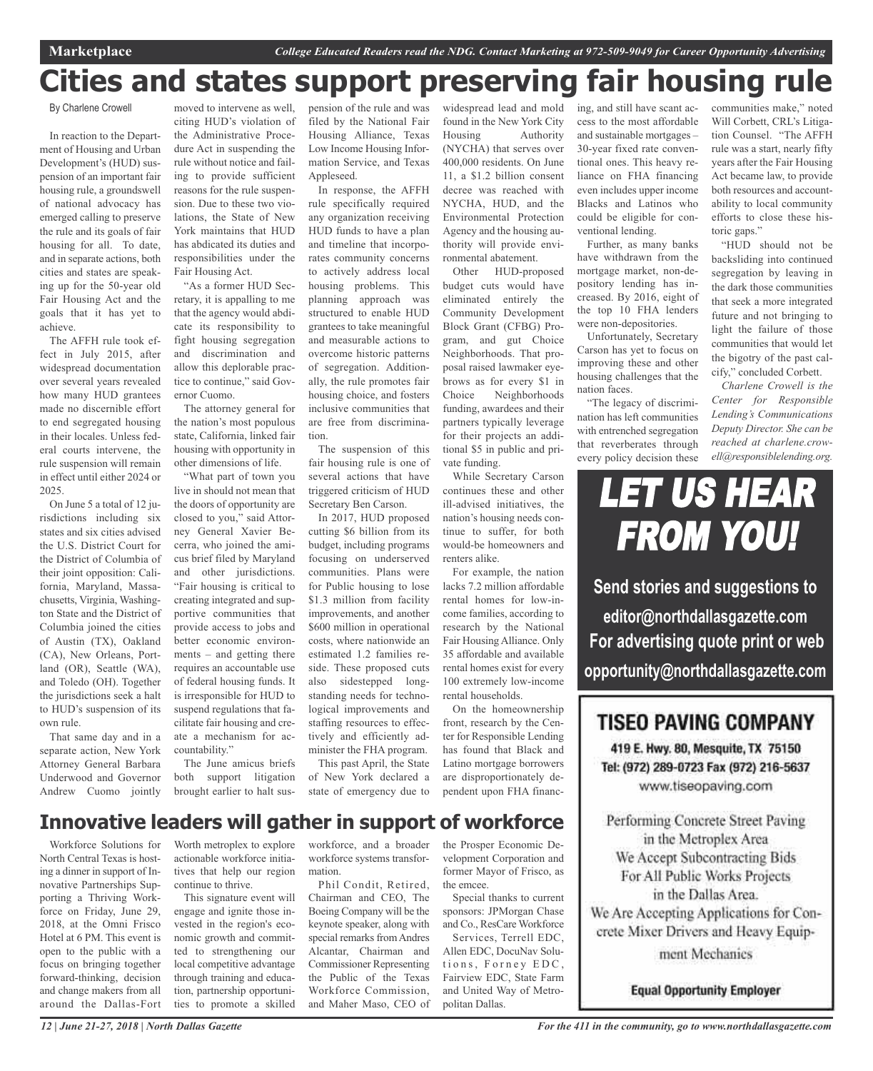# **Cities and states support preserving fair housing rule**

By Charlene Crowell

In reaction to the Department of Housing and Urban Development's (HUD) suspension of an important fair housing rule, a groundswell of national advocacy has emerged calling to preserve the rule and its goals of fair housing for all. To date, and in separate actions, both cities and states are speaking up for the 50-year old Fair Housing Act and the goals that it has yet to achieve.

The AFFH rule took effect in July 2015, after widespread documentation over several years revealed how many HUD grantees made no discernible effort to end segregated housing in their locales. Unless federal courts intervene, the rule suspension will remain in effect until either 2024 or 2025.

On June 5 a total of 12 jurisdictions including six states and six cities advised the U.S. District Court for the District of Columbia of their joint opposition: California, Maryland, Massachusetts, Virginia, Washington State and the District of Columbia joined the cities of Austin (TX), Oakland (CA), New Orleans, Portland (OR), Seattle (WA), and Toledo (OH). Together the jurisdictions seek a halt to HUD's suspension of its own rule.

That same day and in a separate action, New York Attorney General Barbara Underwood and Governor Andrew Cuomo jointly moved to intervene as well, citing HUD's violation of the Administrative Procedure Act in suspending the rule without notice and failing to provide sufficient reasons for the rule suspension. Due to these two violations, the State of New York maintains that HUD has abdicated its duties and responsibilities under the Fair Housing Act.

"As a former HUD Secretary, it is appalling to me that the agency would abdicate its responsibility to fight housing segregation and discrimination and allow this deplorable practice to continue," said Governor Cuomo.

The attorney general for the nation's most populous state, California, linked fair housing with opportunity in other dimensions of life.

"What part of town you live in should not mean that the doors of opportunity are closed to you," said Attorney General Xavier Becerra, who joined the amicus brief filed by Maryland and other jurisdictions. "Fair housing is critical to creating integrated and supportive communities that provide access to jobs and better economic environments – and getting there requires an accountable use of federal housing funds. It is irresponsible for HUD to suspend regulations that facilitate fair housing and create a mechanism for accountability."

The June amicus briefs both support litigation brought earlier to halt suspension of the rule and was filed by the National Fair Housing Alliance, Texas Low Income Housing Information Service, and Texas Appleseed.

In response, the AFFH rule specifically required any organization receiving HUD funds to have a plan and timeline that incorporates community concerns to actively address local housing problems. This planning approach was structured to enable HUD grantees to take meaningful and measurable actions to overcome historic patterns of segregation. Additionally, the rule promotes fair housing choice, and fosters inclusive communities that are free from discrimination.

The suspension of this fair housing rule is one of several actions that have triggered criticism of HUD Secretary Ben Carson.

In 2017, HUD proposed cutting \$6 billion from its budget, including programs focusing on underserved communities. Plans were for Public housing to lose \$1.3 million from facility improvements, and another \$600 million in operational costs, where nationwide an estimated 1.2 families reside. These proposed cuts also sidestepped longstanding needs for technological improvements and staffing resources to effectively and efficiently administer the FHA program.

This past April, the State of New York declared a state of emergency due to widespread lead and mold found in the New York City Housing Authority (NYCHA) that serves over 400,000 residents. On June 11, a \$1.2 billion consent decree was reached with NYCHA, HUD, and the Environmental Protection Agency and the housing authority will provide environmental abatement.

Other HUD-proposed budget cuts would have eliminated entirely the Community Development Block Grant (CFBG) Program, and gut Choice Neighborhoods. That proposal raised lawmaker eyebrows as for every \$1 in Choice Neighborhoods funding, awardees and their partners typically leverage for their projects an additional \$5 in public and private funding.

While Secretary Carson continues these and other ill-advised initiatives, the nation's housing needs continue to suffer, for both would-be homeowners and renters alike.

For example, the nation lacks 7.2 million affordable rental homes for low-income families, according to research by the National Fair Housing Alliance. Only 35 affordable and available rental homes exist for every 100 extremely low-income rental households.

On the homeownership front, research by the Center for Responsible Lending has found that Black and Latino mortgage borrowers are disproportionately dependent upon FHA financing, and still have scant access to the most affordable and sustainable mortgages – 30-year fixed rate conventional ones. This heavy reliance on FHA financing even includes upper income Blacks and Latinos who could be eligible for conventional lending.

Further, as many banks have withdrawn from the mortgage market, non-depository lending has increased. By 2016, eight of the top 10 FHA lenders were non-depositories.

Unfortunately, Secretary Carson has yet to focus on improving these and other housing challenges that the nation faces.

"The legacy of discrimination has left communities with entrenched segregation that reverberates through every policy decision these communities make," noted Will Corbett, CRL's Litigation Counsel. "The AFFH rule was a start, nearly fifty years after the Fair Housing Act became law, to provide both resources and accountability to local community efforts to close these historic gaps."

"HUD should not be backsliding into continued segregation by leaving in the dark those communities that seek a more integrated future and not bringing to light the failure of those communities that would let the bigotry of the past calcify," concluded Corbett.

*Charlene Crowell is the Center for Responsible Lending's Communications Deputy Director. She can be reached at charlene.crowell@responsiblelending.org.*

# LET US HEAR FROM YOU!

**Send stories and suggestions to editor@northdallasgazette.com For advertising quote print or web opportunity@northdallasgazette.com**

## **TISEO PAVING COMPANY**

419 E. Hwy. 80, Mesquite, TX 75150 Tel: (972) 289-0723 Fax (972) 216-5637 www.tiseopaving.com

Performing Concrete Street Paving in the Metroplex Area We Accept Subcontracting Bids For All Public Works Projects in the Dallas Area. We Are Accepting Applications for Concrete Mixer Drivers and Heavy Equipment Mechanics

**Equal Opportunity Employer** 

## **Innovative leaders will gather in support of workforce**

Workforce Solutions for North Central Texas is hosting a dinner in support of Innovative Partnerships Supporting a Thriving Workforce on Friday, June 29, 2018, at the Omni Frisco Hotel at 6 PM. This event is open to the public with a focus on bringing together forward-thinking, decision and change makers from all around the Dallas-Fort

Worth metroplex to explore actionable workforce initiatives that help our region continue to thrive.

This signature event will engage and ignite those invested in the region's economic growth and committed to strengthening our local competitive advantage through training and education, partnership opportunities to promote a skilled workforce, and a broader workforce systems transformation.

Phil Condit, Retired, Chairman and CEO, The Boeing Company will be the keynote speaker, along with special remarks from Andres Alcantar, Chairman and Commissioner Representing the Public of the Texas Workforce Commission, and Maher Maso, CEO of the Prosper Economic Development Corporation and former Mayor of Frisco, as the emcee.

Special thanks to current sponsors: JPMorgan Chase and Co., ResCare Workforce

Services, Terrell EDC, Allen EDC, DocuNav Solutions, Forney EDC, Fairview EDC, State Farm and United Way of Metropolitan Dallas.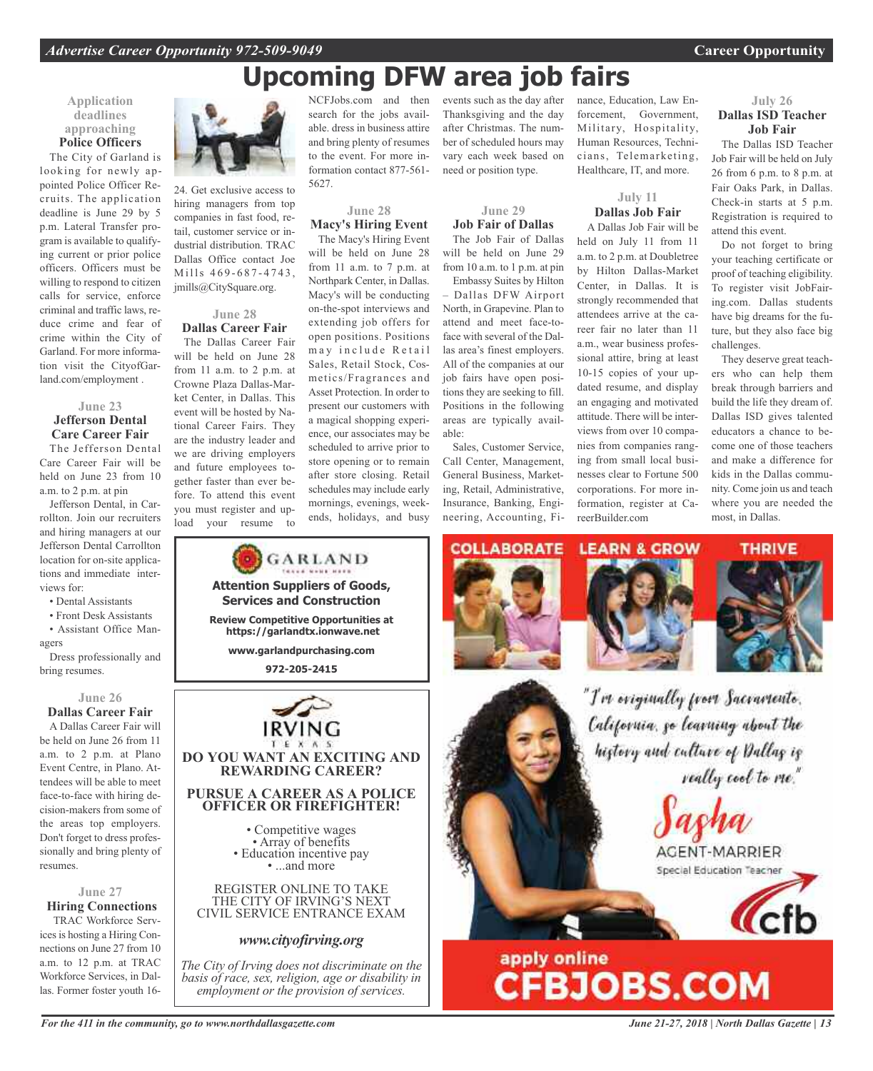# **Upcoming DFW area job fairs**

#### **Application deadlines approaching Police Officers**

The City of Garland is looking for newly appointed Police Officer Recruits. The application deadline is June 29 by 5 p.m. Lateral Transfer program is available to qualifying current or prior police officers. Officers must be willing to respond to citizen calls for service, enforce criminal and traffic laws, reduce crime and fear of crime within the City of Garland. For more information visit the CityofGarland.com/employment .

#### **June 23 Jefferson Dental Care Career Fair**

The Jefferson Dental Care Career Fair will be held on June 23 from 10 a.m. to 2 p.m. at pin

Jefferson Dental, in Carrollton. Join our recruiters and hiring managers at our Jefferson Dental Carrollton location for on-site applications and immediate interviews for:

- Dental Assistants
- Front Desk Assistants

• Assistant Office Managers

Dress professionally and bring resumes.

#### **June 26**

**Dallas Career Fair**

A Dallas Career Fair will be held on June 26 from 11 a.m. to 2 p.m. at Plano Event Centre, in Plano. Attendees will be able to meet face-to-face with hiring decision-makers from some of the areas top employers. Don't forget to dress professionally and bring plenty of resumes.

## **June 27**

**Hiring Connections** TRAC Workforce Services is hosting a Hiring Connections on June 27 from 10 a.m. to 12 p.m. at TRAC Workforce Services, in Dallas. Former foster youth 16-



24. Get exclusive access to hiring managers from top companies in fast food, retail, customer service or industrial distribution. TRAC Dallas Office contact Joe Mills 469-687-4743, jmills@CitySquare.org.

## **June 28 Dallas Career Fair**

The Dallas Career Fair will be held on June 28 from 11 a.m. to 2 p.m. at Crowne Plaza Dallas-Market Center, in Dallas. This event will be hosted by National Career Fairs. They are the industry leader and we are driving employers and future employees together faster than ever before. To attend this event you must register and upload your resume to

NCFJobs.com and then search for the jobs available. dress in business attire and bring plenty of resumes to the event. For more information contact 877-561- 5627.

#### **June 28 Macy's Hiring Event** The Macy's Hiring Event

will be held on June 28 from 11 a.m. to 7 p.m. at Northpark Center, in Dallas. Macy's will be conducting on-the-spot interviews and extending job offers for open positions. Positions may include Retail Sales, Retail Stock, Cosmetics/Fragrances and Asset Protection. In order to present our customers with a magical shopping experience, our associates may be scheduled to arrive prior to store opening or to remain after store closing. Retail schedules may include early mornings, evenings, weekends, holidays, and busy

events such as the day after Thanksgiving and the day after Christmas. The number of scheduled hours may vary each week based on need or position type.

**June 29 Job Fair of Dallas** The Job Fair of Dallas

will be held on June 29 from 10 a.m. to 1 p.m. at pin Embassy Suites by Hilton – Dallas DFW Airport North, in Grapevine. Plan to attend and meet face-toface with several of the Dallas area's finest employers. All of the companies at our job fairs have open positions they are seeking to fill. Positions in the following areas are typically available:

Sales, Customer Service, Call Center, Management, General Business, Marketing, Retail, Administrative, Insurance, Banking, Engineering, Accounting, Finance, Education, Law Enforcement, Government, Military, Hospitality, Human Resources, Technicians, Telemarketing, Healthcare, IT, and more.

## **July 11 Dallas Job Fair**

A Dallas Job Fair will be held on July 11 from 11 a.m. to 2 p.m. at Doubletree by Hilton Dallas-Market Center, in Dallas. It is strongly recommended that attendees arrive at the career fair no later than 11 a.m., wear business professional attire, bring at least 10-15 copies of your updated resume, and display an engaging and motivated attitude. There will be interviews from over 10 companies from companies ranging from small local businesses clear to Fortune 500 corporations. For more information, register at CareerBuilder.com

**July 26 Dallas ISD Teacher Job Fair**

The Dallas ISD Teacher Job Fair will be held on July 26 from 6 p.m. to 8 p.m. at Fair Oaks Park, in Dallas. Check-in starts at 5 p.m. Registration is required to attend this event.

Do not forget to bring your teaching certificate or proof of teaching eligibility. To register visit JobFairing.com. Dallas students have big dreams for the future, but they also face big challenges.

They deserve great teachers who can help them break through barriers and build the life they dream of. Dallas ISD gives talented educators a chance to become one of those teachers and make a difference for kids in the Dallas community. Come join us and teach where you are needed the most, in Dallas.



*The City of Irving does not discriminate on the basis of race, sex, religion, age or disability in employment or the provision of services.*







"I've eviginally from Sacramente. California, go learning about the history and culture of Dallag is really cool to me."





# apply online<br>CFBJOBS.COM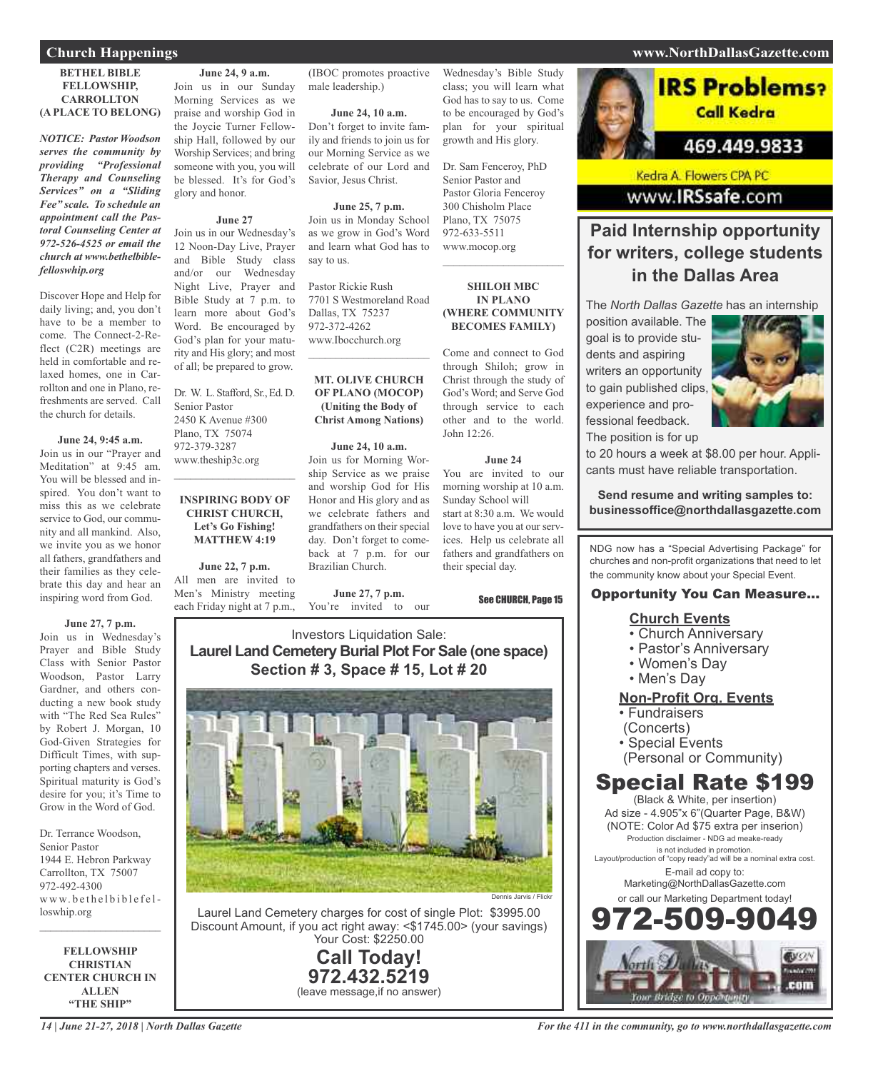## **Church Happenings www.NorthDallasGazette.com**

#### **BETHEL BIBLE FELLOWSHIP, CARROLLTON (A PLACE TO BELONG)**

*NOTICE: Pastor Woodson serves the community by providing "Professional Therapy and Counseling Services" on a "Sliding Fee" scale. To schedule an appointment call the Pastoral Counseling Center at 972-526-4525 or email the church at www.bethelbiblefelloswhip.org*

Discover Hope and Help for daily living; and, you don't have to be a member to come. The Connect-2-Reflect (C2R) meetings are held in comfortable and relaxed homes, one in Carrollton and one in Plano, refreshments are served. Call the church for details.

#### **June 24, 9:45 a.m.**

Join us in our "Prayer and Meditation" at 9:45 am. You will be blessed and inspired. You don't want to miss this as we celebrate service to God, our community and all mankind. Also, we invite you as we honor all fathers, grandfathers and their families as they celebrate this day and hear an inspiring word from God.

#### **June 27, 7 p.m.**

Join us in Wednesday's Prayer and Bible Study Class with Senior Pastor Woodson, Pastor Larry Gardner, and others conducting a new book study with "The Red Sea Rules" by Robert J. Morgan, 10 God-Given Strategies for Difficult Times, with supporting chapters and verses. Spiritual maturity is God's desire for you; it's Time to Grow in the Word of God.

Dr. Terrance Woodson, Senior Pastor 1944 E. Hebron Parkway Carrollton, TX 75007 972-492-4300 www.bethelbiblefelloswhip.org  $\mathcal{L}=\mathcal{L}^{\mathcal{L}}$  , where  $\mathcal{L}^{\mathcal{L}}$  , we have the set of the set of the set of the set of the set of the set of the set of the set of the set of the set of the set of the set of the set of the set of the set of

**FELLOWSHIP CHRISTIAN CENTER CHURCH IN ALLEN "THE SHIP"**

**June 24, 9 a.m.** Join us in our Sunday Morning Services as we

praise and worship God in the Joycie Turner Fellowship Hall, followed by our Worship Services; and bring someone with you, you will be blessed. It's for God's glory and honor.

**June 27**

Join us in our Wednesday's 12 Noon-Day Live, Prayer and Bible Study class and/or our Wednesday Night Live, Prayer and Bible Study at 7 p.m. to learn more about God's Word. Be encouraged by God's plan for your maturity and His glory; and most of all; be prepared to grow.

Dr. W. L. Stafford, Sr., Ed. D. Senior Pastor 2450 K Avenue #300 Plano, TX 75074 972-379-3287 www.theship3c.org  $\overline{\phantom{a}}$  , and the set of the set of the set of the set of the set of the set of the set of the set of the set of the set of the set of the set of the set of the set of the set of the set of the set of the set of the s

#### **INSPIRING BODY OF CHRIST CHURCH, Let's Go Fishing! MATTHEW 4:19**

**June 22, 7 p.m.** All men are invited to Men's Ministry meeting each Friday night at 7 p.m., (IBOC promotes proactive male leadership.)

**June 24, 10 a.m.** Don't forget to invite family and friends to join us for our Morning Service as we celebrate of our Lord and Savior, Jesus Christ.

**June 25, 7 p.m.** Join us in Monday School as we grow in God's Word and learn what God has to say to us.

Pastor Rickie Rush 7701 S Westmoreland Road Dallas, TX 75237 972-372-4262 www.Ibocchurch.org

**MT. OLIVE CHURCH OF PLANO (MOCOP) (Uniting the Body of Christ Among Nations)**

 $\overline{\phantom{a}}$  , and the set of the set of the set of the set of the set of the set of the set of the set of the set of the set of the set of the set of the set of the set of the set of the set of the set of the set of the s

#### **June 24, 10 a.m.**

Join us for Morning Worship Service as we praise and worship God for His Honor and His glory and as we celebrate fathers and grandfathers on their special day. Don't forget to comeback at 7 p.m. for our Brazilian Church.

**June 27, 7 p.m.** You're invited to our Wednesday's Bible Study class; you will learn what God has to say to us. Come to be encouraged by God's plan for your spiritual growth and His glory.

Dr. Sam Fenceroy, PhD Senior Pastor and Pastor Gloria Fenceroy 300 Chisholm Place Plano, TX 75075 972-633-5511 www.mocop.org

#### **SHILOH MBC IN PLANO (WHERE COMMUNITY BECOMES FAMILY)**

 $\mathcal{L}$  , and the set of the set of the set of the set of the set of the set of the set of the set of the set of the set of the set of the set of the set of the set of the set of the set of the set of the set of the set

Come and connect to God through Shiloh; grow in Christ through the study of God's Word; and Serve God through service to each other and to the world. John 12:26.

#### **June 24**

You are invited to our morning worship at 10 a.m. Sunday School will start at 8:30 a.m. We would love to have you at our services. Help us celebrate all fathers and grandfathers on their special day.

See CHURCH, Page 15

## Investors Liquidation Sale: **Laurel Land Cemetery Burial Plot For Sale (one space) Section # 3, Space # 15, Lot # 20**



Laurel Land Cemetery charges for cost of single Plot: \$3995.00 Discount Amount, if you act right away: <\$1745.00> (your savings) Your Cost: \$2250.00

> **Call Today! 972.432.5219** (leave message,if no answer)

# **IRS Problems?**

Call Kedra

## 469.449.9833

Kedra A. Flowers CPA PC www.IRSsafe.com

## **Paid Internship opportunity for writers, college students in the Dallas Area**

The *North Dallas Gazette* has an internship

position available. The goal is to provide students and aspiring writers an opportunity to gain published clips, experience and professional feedback. The position is for up



to 20 hours a week at \$8.00 per hour. Applicants must have reliable transportation.

**Send resume and writing samples to: businessoffice@northdallasgazette.com**

NDG now has a "Special Advertising Package" for churches and non-profit organizations that need to let the community know about your Special Event.

### Opportunity You Can Measure...

## **Church Events**

- Church Anniversary
- Pastor's Anniversary
- Women's Day
- Men's Day

## **Non-Profit Org. Events**

- Fundraisers
- (Concerts)
- Special Events
- (Personal or Community)

## Special Rate \$199

(Black & White, per insertion) Ad size - 4.905"x 6"(Quarter Page, B&W) (NOTE: Color Ad \$75 extra per inserion) Production disclaimer - NDG ad meake-ready is not included in promotion. Layout/production of "copy ready"ad will be a nominal extra cost. E-mail ad copy to: Marketing@NorthDallasGazette.com or call our Marketing Department today! 972-509-9049

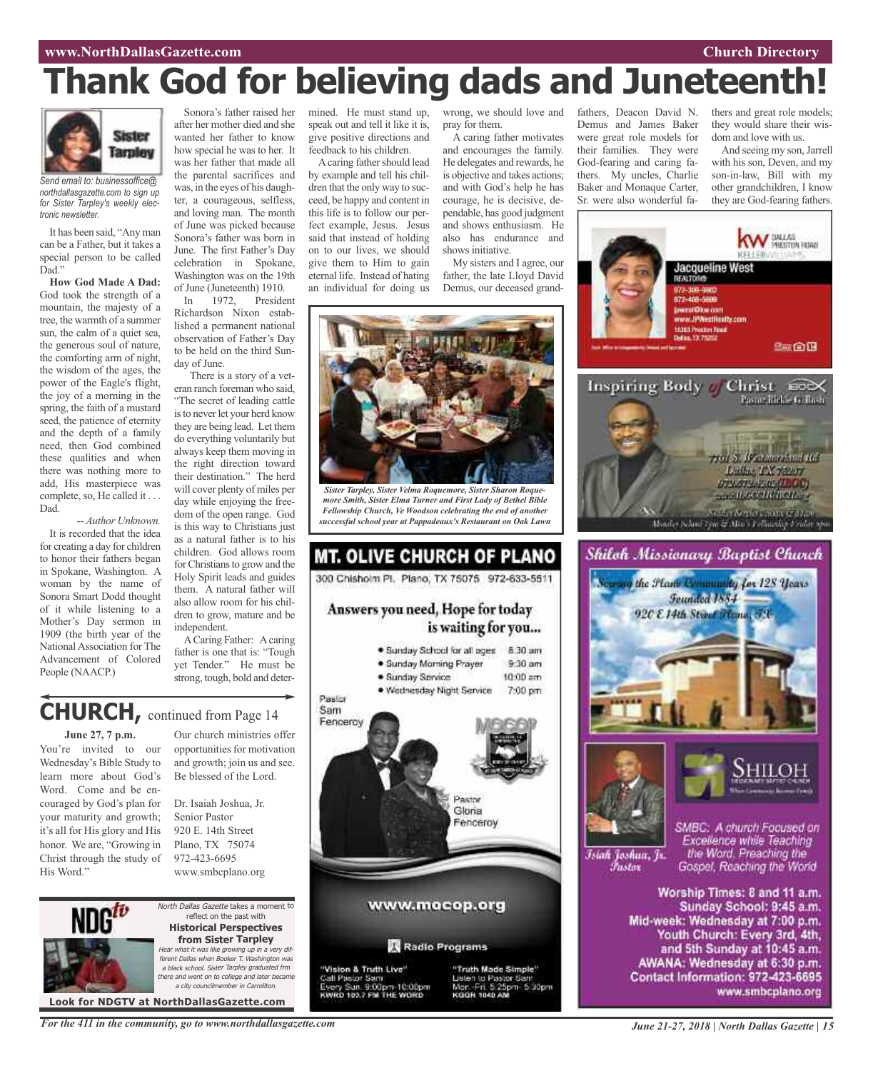# **Thank God for believing dads and Juneteenth!**



*Send email to: businessoffice@ northdallasgazette.com to sign up for Sister Tarpley's weekly electronic newsletter.*

It has been said, "Any man can be a Father, but it takes a special person to be called Dad."

**How God Made A Dad:** God took the strength of a mountain, the majesty of a tree, the warmth of a summer sun, the calm of a quiet sea, the generous soul of nature, the comforting arm of night, the wisdom of the ages, the power of the Eagle's flight, the joy of a morning in the spring, the faith of a mustard seed, the patience of eternity and the depth of a family need, then God combined these qualities and when there was nothing more to add, His masterpiece was complete, so, He called it . . . Dad.

*-- Author Unknown.* It is recorded that the idea for creating a day for children to honor their fathers began in Spokane, Washington. A woman by the name of Sonora Smart Dodd thought of it while listening to a Mother's Day sermon in 1909 (the birth year of the National Association for The Advancement of Colored People (NAACP.)

after her mother died and she wanted her father to know how special he was to her. It was her father that made all the parental sacrifices and was, in the eyes of his daughter, a courageous, selfless, and loving man. The month of June was picked because Sonora's father was born in June. The first Father's Day celebration in Spokane, Washington was on the 19th

of June (Juneteenth) 1910. In 1972, President Richardson Nixon established a permanent national observation of Father's Day to be held on the third Sunday of June.

There is a story of a veteran ranch foreman who said, "The secret of leading cattle is to never let your herd know they are being lead. Let them do everything voluntarily but always keep them moving in the right direction toward their destination." The herd will cover plenty of miles per day while enjoying the freedom of the open range. God is this way to Christians just as a natural father is to his children. God allows room for Christians to grow and the Holy Spirit leads and guides them. A natural father will also allow room for his children to grow, mature and be independent.

ACaring Father: Acaring father is one that is: "Tough yet Tender." He must be strong, tough, bold and deter-

## **CHURCH,** continued from Page <sup>14</sup>

**June 27, 7 p.m.**

You're invited to our Wednesday's Bible Study to learn more about God's Word. Come and be encouraged by God's plan for your maturity and growth; it's all for His glory and His honor. We are, "Growing in Christ through the study of His Word."

Our church ministries offer opportunities for motivation and growth; join us and see. Be blessed of the Lord.

Dr. Isaiah Joshua, Jr. Senior Pastor 920 E. 14th Street Plano, TX 75074 972-423-6695 www.smbcplano.org



North Dallas Gazette takes a moment to reflect on the past with **Historical Perspectives from Sister Tarpley** Hear what it was like growing up in <sup>a</sup> very different Dallas when Booker T. Washington was <sup>a</sup> black school. Sister Tarpley graduated frm there and went on to college and later became a city councilmember in Carroll

**Look for NDGTV at NorthDallasGazette.com**

Sonora's father raised her mined. He must stand up, speak out and tell it like it is, give positive directions and feedback to his children.

A caring father should lead by example and tell his children that the only way to succeed, be happy and content in this life is to follow our perfect example, Jesus. Jesus said that instead of holding on to our lives, we should give them to Him to gain eternal life. Instead of hating an individual for doing us

wrong, we should love and pray for them. A caring father motivates

fathers, Deacon David N. Demus and James Baker were great role models for their families. They were God-fearing and caring fathers. My uncles, Charlie Baker and Monaque Carter, Sr. were also wonderful fathers and great role models; they would share their wisdom and love with us.

And seeing my son,Jarrell with his son, Deven, and my son-in-law, Bill with my other grandchildren, I know they are God-fearing fathers.

W BALAS

acqueline West

and encourages the family. He delegates and rewards, he is objective and takes actions; and with God's help he has courage, he is decisive, dependable, has good judgment and shows enthusiasm. He also has endurance and shows initiative.

My sisters and I agree, our father, the late Lloyd David Demus, our deceased grand-



*Sister Tarpley, Sister Velma Roquemore, Sister Sharon Roquemore Smith, Sister Elma Turner and First Lady of Bethel Bible Fellowship Church, Ve Woodson celebrating the end of another successful school year at Pappadeaux's Restaurant on Oak Lawn*





*For the 411 in the community, go to www.northdallasgazette.com*